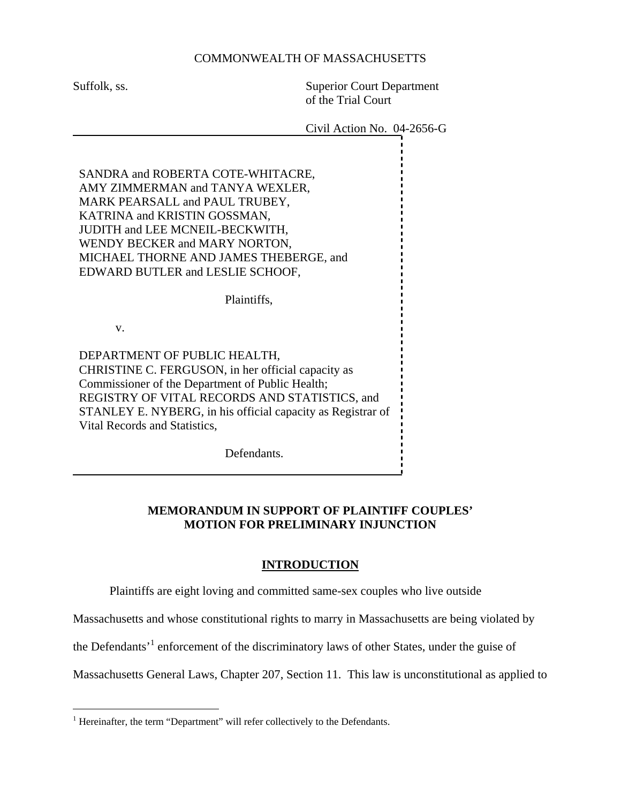## COMMONWEALTH OF MASSACHUSETTS

Suffolk, ss. Superior Court Department of the Trial Court

Civil Action No. 04-2656-G

SANDRA and ROBERTA COTE-WHITACRE, AMY ZIMMERMAN and TANYA WEXLER, MARK PEARSALL and PAUL TRUBEY, KATRINA and KRISTIN GOSSMAN, JUDITH and LEE MCNEIL-BECKWITH, WENDY BECKER and MARY NORTON, MICHAEL THORNE AND JAMES THEBERGE, and EDWARD BUTLER and LESLIE SCHOOF,

Plaintiffs,

v.

DEPARTMENT OF PUBLIC HEALTH, CHRISTINE C. FERGUSON, in her official capacity as Commissioner of the Department of Public Health; REGISTRY OF VITAL RECORDS AND STATISTICS, and STANLEY E. NYBERG, in his official capacity as Registrar of Vital Records and Statistics,

Defendants.

# **MEMORANDUM IN SUPPORT OF PLAINTIFF COUPLES' MOTION FOR PRELIMINARY INJUNCTION**

#### **INTRODUCTION**

Plaintiffs are eight loving and committed same-sex couples who live outside

Massachusetts and whose constitutional rights to marry in Massachusetts are being violated by

the Defendants<sup>[1](#page-0-0)</sup> enforcement of the discriminatory laws of other States, under the guise of

Massachusetts General Laws, Chapter 207, Section 11. This law is unconstitutional as applied to

<span id="page-0-0"></span> $\frac{1}{1}$  $<sup>1</sup>$  Hereinafter, the term "Department" will refer collectively to the Defendants.</sup>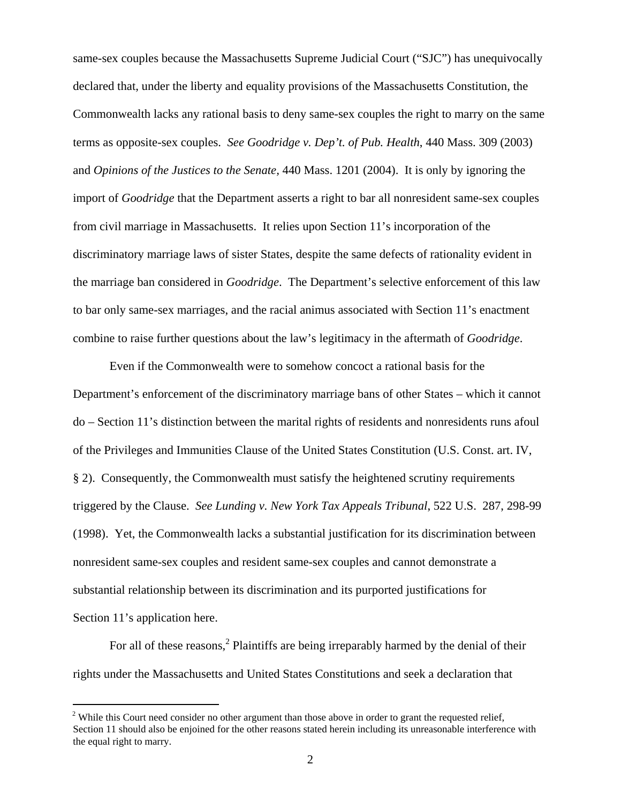same-sex couples because the Massachusetts Supreme Judicial Court ("SJC") has unequivocally declared that, under the liberty and equality provisions of the Massachusetts Constitution, the Commonwealth lacks any rational basis to deny same-sex couples the right to marry on the same terms as opposite-sex couples. *See Goodridge v. Dep't. of Pub. Health*, 440 Mass. 309 (2003) and *Opinions of the Justices to the Senate,* 440 Mass. 1201 (2004). It is only by ignoring the import of *Goodridge* that the Department asserts a right to bar all nonresident same-sex couples from civil marriage in Massachusetts. It relies upon Section 11's incorporation of the discriminatory marriage laws of sister States, despite the same defects of rationality evident in the marriage ban considered in *Goodridge*. The Department's selective enforcement of this law to bar only same-sex marriages, and the racial animus associated with Section 11's enactment combine to raise further questions about the law's legitimacy in the aftermath of *Goodridge*.

Even if the Commonwealth were to somehow concoct a rational basis for the Department's enforcement of the discriminatory marriage bans of other States – which it cannot do – Section 11's distinction between the marital rights of residents and nonresidents runs afoul of the Privileges and Immunities Clause of the United States Constitution (U.S. Const. art. IV, § 2). Consequently, the Commonwealth must satisfy the heightened scrutiny requirements triggered by the Clause. *See Lunding v. New York Tax Appeals Tribunal*, 522 U.S. 287, 298-99 (1998). Yet, the Commonwealth lacks a substantial justification for its discrimination between nonresident same-sex couples and resident same-sex couples and cannot demonstrate a substantial relationship between its discrimination and its purported justifications for Section 11's application here.

For all of these reasons,<sup>2</sup> Plaintiffs are being irreparably harmed by the denial of their rights under the Massachusetts and United States Constitutions and seek a declaration that

<span id="page-1-0"></span> $2$  While this Court need consider no other argument than those above in order to grant the requested relief, Section 11 should also be enjoined for the other reasons stated herein including its unreasonable interference with the equal right to marry.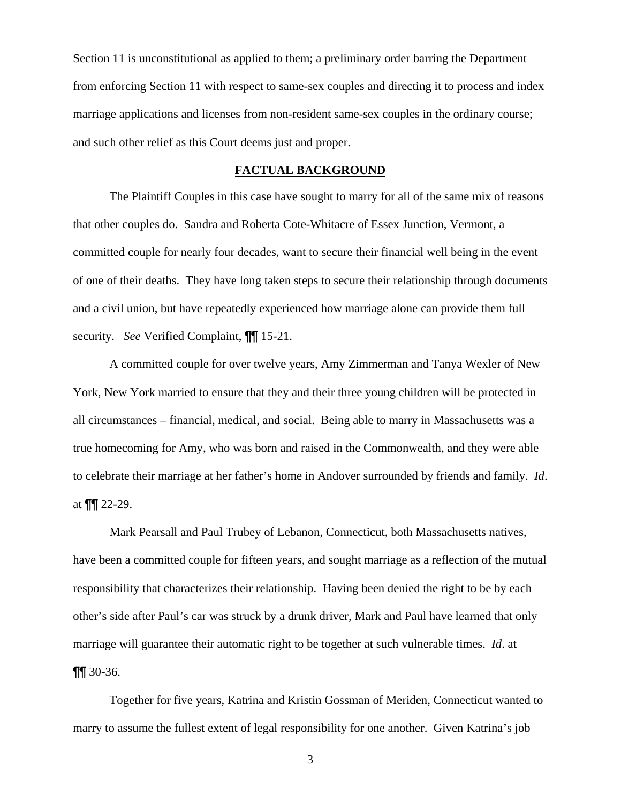Section 11 is unconstitutional as applied to them; a preliminary order barring the Department from enforcing Section 11 with respect to same-sex couples and directing it to process and index marriage applications and licenses from non-resident same-sex couples in the ordinary course; and such other relief as this Court deems just and proper.

#### **FACTUAL BACKGROUND**

The Plaintiff Couples in this case have sought to marry for all of the same mix of reasons that other couples do. Sandra and Roberta Cote-Whitacre of Essex Junction, Vermont, a committed couple for nearly four decades, want to secure their financial well being in the event of one of their deaths. They have long taken steps to secure their relationship through documents and a civil union, but have repeatedly experienced how marriage alone can provide them full security. *See* Verified Complaint, ¶¶ 15-21.

A committed couple for over twelve years, Amy Zimmerman and Tanya Wexler of New York, New York married to ensure that they and their three young children will be protected in all circumstances – financial, medical, and social. Being able to marry in Massachusetts was a true homecoming for Amy, who was born and raised in the Commonwealth, and they were able to celebrate their marriage at her father's home in Andover surrounded by friends and family. *Id*. at  $\P\P$  22-29.

Mark Pearsall and Paul Trubey of Lebanon, Connecticut, both Massachusetts natives, have been a committed couple for fifteen years, and sought marriage as a reflection of the mutual responsibility that characterizes their relationship. Having been denied the right to be by each other's side after Paul's car was struck by a drunk driver, Mark and Paul have learned that only marriage will guarantee their automatic right to be together at such vulnerable times. *Id*. at ¶¶ 30-36.

Together for five years, Katrina and Kristin Gossman of Meriden, Connecticut wanted to marry to assume the fullest extent of legal responsibility for one another. Given Katrina's job

3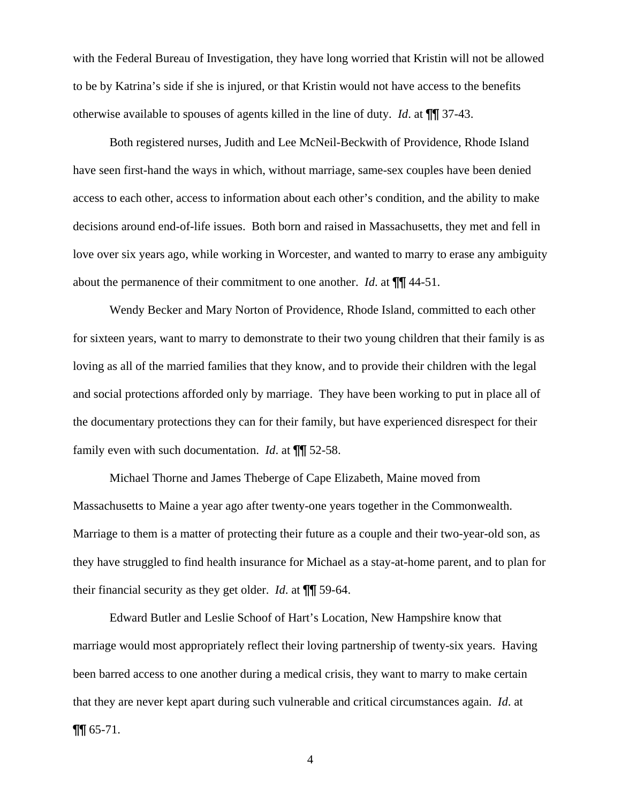with the Federal Bureau of Investigation, they have long worried that Kristin will not be allowed to be by Katrina's side if she is injured, or that Kristin would not have access to the benefits otherwise available to spouses of agents killed in the line of duty. *Id*. at ¶¶ 37-43.

Both registered nurses, Judith and Lee McNeil-Beckwith of Providence, Rhode Island have seen first-hand the ways in which, without marriage, same-sex couples have been denied access to each other, access to information about each other's condition, and the ability to make decisions around end-of-life issues. Both born and raised in Massachusetts, they met and fell in love over six years ago, while working in Worcester, and wanted to marry to erase any ambiguity about the permanence of their commitment to one another. *Id*. at ¶¶ 44-51.

Wendy Becker and Mary Norton of Providence, Rhode Island, committed to each other for sixteen years, want to marry to demonstrate to their two young children that their family is as loving as all of the married families that they know, and to provide their children with the legal and social protections afforded only by marriage. They have been working to put in place all of the documentary protections they can for their family, but have experienced disrespect for their family even with such documentation. *Id*. at ¶¶ 52-58.

Michael Thorne and James Theberge of Cape Elizabeth, Maine moved from Massachusetts to Maine a year ago after twenty-one years together in the Commonwealth. Marriage to them is a matter of protecting their future as a couple and their two-year-old son, as they have struggled to find health insurance for Michael as a stay-at-home parent, and to plan for their financial security as they get older. *Id*. at ¶¶ 59-64.

Edward Butler and Leslie Schoof of Hart's Location, New Hampshire know that marriage would most appropriately reflect their loving partnership of twenty-six years. Having been barred access to one another during a medical crisis, they want to marry to make certain that they are never kept apart during such vulnerable and critical circumstances again. *Id*. at  $\P\P$  65-71.

4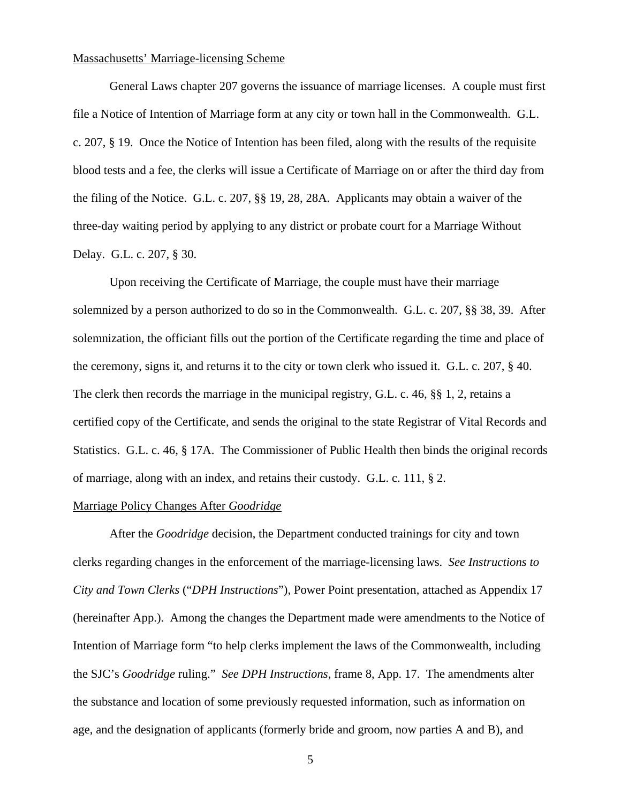#### Massachusetts' Marriage-licensing Scheme

 General Laws chapter 207 governs the issuance of marriage licenses. A couple must first file a Notice of Intention of Marriage form at any city or town hall in the Commonwealth. G.L. c. 207, § 19. Once the Notice of Intention has been filed, along with the results of the requisite blood tests and a fee, the clerks will issue a Certificate of Marriage on or after the third day from the filing of the Notice. G.L. c. 207, §§ 19, 28, 28A. Applicants may obtain a waiver of the three-day waiting period by applying to any district or probate court for a Marriage Without Delay. G.L. c. 207, § 30.

Upon receiving the Certificate of Marriage, the couple must have their marriage solemnized by a person authorized to do so in the Commonwealth. G.L. c. 207, §§ 38, 39. After solemnization, the officiant fills out the portion of the Certificate regarding the time and place of the ceremony, signs it, and returns it to the city or town clerk who issued it. G.L. c. 207, § 40. The clerk then records the marriage in the municipal registry, G.L. c. 46, §§ 1, 2, retains a certified copy of the Certificate, and sends the original to the state Registrar of Vital Records and Statistics. G.L. c. 46, § 17A. The Commissioner of Public Health then binds the original records of marriage, along with an index, and retains their custody. G.L. c. 111, § 2.

#### Marriage Policy Changes After *Goodridge*

 After the *Goodridge* decision, the Department conducted trainings for city and town clerks regarding changes in the enforcement of the marriage-licensing laws. *See Instructions to City and Town Clerks* ("*DPH Instructions*"), Power Point presentation, attached as Appendix 17 (hereinafter App.). Among the changes the Department made were amendments to the Notice of Intention of Marriage form "to help clerks implement the laws of the Commonwealth, including the SJC's *Goodridge* ruling." *See DPH Instructions*, frame 8, App. 17. The amendments alter the substance and location of some previously requested information, such as information on age, and the designation of applicants (formerly bride and groom, now parties A and B), and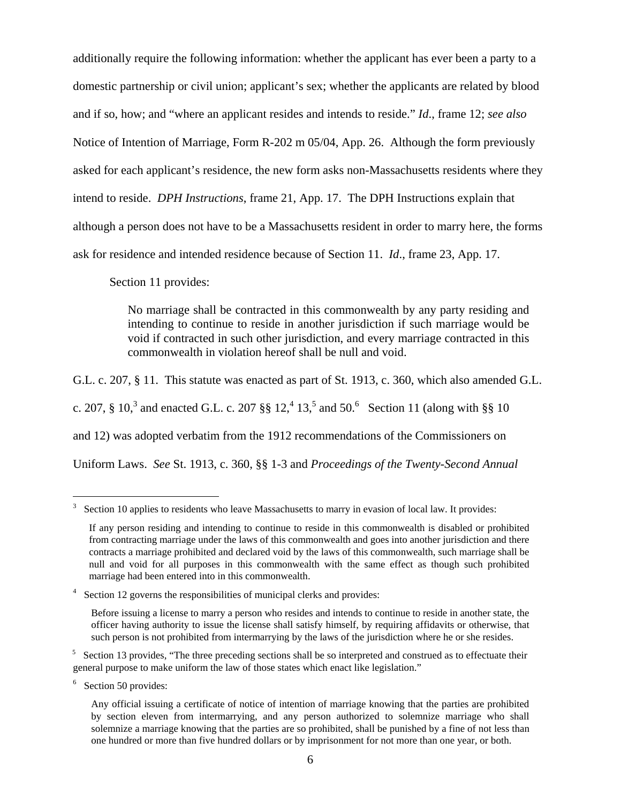additionally require the following information: whether the applicant has ever been a party to a domestic partnership or civil union; applicant's sex; whether the applicants are related by blood and if so, how; and "where an applicant resides and intends to reside." *Id*., frame 12; *see also* Notice of Intention of Marriage, Form R-202 m 05/04, App. 26. Although the form previously asked for each applicant's residence, the new form asks non-Massachusetts residents where they intend to reside. *DPH Instructions*, frame 21, App. 17. The DPH Instructions explain that although a person does not have to be a Massachusetts resident in order to marry here, the forms ask for residence and intended residence because of Section 11. *Id*., frame 23, App. 17.

Section 11 provides:

No marriage shall be contracted in this commonwealth by any party residing and intending to continue to reside in another jurisdiction if such marriage would be void if contracted in such other jurisdiction, and every marriage contracted in this commonwealth in violation hereof shall be null and void.

G.L. c. 207, § 11. This statute was enacted as part of St. 1913, c. 360, which also amended G.L. c. 207, § 10,<sup>[3](#page-5-0)</sup> and enacted G.L. c. 207 §§ [1](#page-5-1)2,<sup>4</sup> 13,<sup>5</sup> [a](#page-5-2)nd50.<sup>6</sup> Section 11 (along with §§ 10 and 12) was adopted verbatim from the 1912 recommendations of the Commissioners on Uniform Laws. *See* St. 1913, c. 360, §§ 1-3 and *Proceedings of the Twenty-Second Annual* 

<span id="page-5-0"></span><sup>3</sup> Section 10 applies to residents who leave Massachusetts to marry in evasion of local law. It provides:

If any person residing and intending to continue to reside in this commonwealth is disabled or prohibited from contracting marriage under the laws of this commonwealth and goes into another jurisdiction and there contracts a marriage prohibited and declared void by the laws of this commonwealth, such marriage shall be null and void for all purposes in this commonwealth with the same effect as though such prohibited marriage had been entered into in this commonwealth.

<span id="page-5-1"></span><sup>&</sup>lt;sup>4</sup> Section 12 governs the responsibilities of municipal clerks and provides:

Before issuing a license to marry a person who resides and intends to continue to reside in another state, the officer having authority to issue the license shall satisfy himself, by requiring affidavits or otherwise, that such person is not prohibited from intermarrying by the laws of the jurisdiction where he or she resides.

<span id="page-5-2"></span><sup>&</sup>lt;sup>5</sup> Section 13 provides, "The three preceding sections shall be so interpreted and construed as to effectuate their general purpose to make uniform the law of those states which enact like legislation."

<span id="page-5-3"></span><sup>&</sup>lt;sup>6</sup> Section 50 provides:

Any official issuing a certificate of notice of intention of marriage knowing that the parties are prohibited by section eleven from intermarrying, and any person authorized to solemnize marriage who shall solemnize a marriage knowing that the parties are so prohibited, shall be punished by a fine of not less than one hundred or more than five hundred dollars or by imprisonment for not more than one year, or both.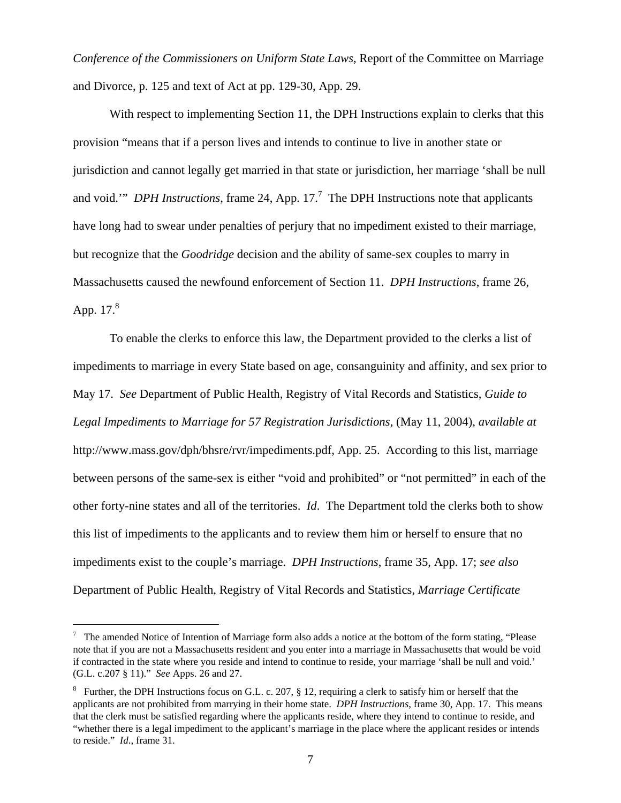*Conference of the Commissioners on Uniform State Laws*, Report of the Committee on Marriage and Divorce, p. 125 and text of Act at pp. 129-30, App. 29.

With respect to implementing Section 11, the DPH Instructions explain to clerks that this provision "means that if a person lives and intends to continue to live in another state or jurisdiction and cannot legally get married in that state or jurisdiction, her marriage 'shall be null and void." *DPH Instructions*, frame 24, App. 1[7](#page-6-0).<sup>7</sup> The DPH Instructions note that applicants have long had to swear under penalties of perjury that no impediment existed to their marriage, but recognize that the *Goodridge* decision and the ability of same-sex couples to marry in Massachusetts caused the newfound enforcement of Section 11. *DPH Instructions*, frame 26, App.  $17<sup>8</sup>$  $17<sup>8</sup>$  $17<sup>8</sup>$ 

To enable the clerks to enforce this law, the Department provided to the clerks a list of impediments to marriage in every State based on age, consanguinity and affinity, and sex prior to May 17. *See* Department of Public Health, Registry of Vital Records and Statistics, *Guide to Legal Impediments to Marriage for 57 Registration Jurisdictions*, (May 11, 2004), *available at* <http://www.mass.gov/dph/bhsre/rvr/impediments.pdf>, App. 25. According to this list, marriage between persons of the same-sex is either "void and prohibited" or "not permitted" in each of the other forty-nine states and all of the territories. *Id*. The Department told the clerks both to show this list of impediments to the applicants and to review them him or herself to ensure that no impediments exist to the couple's marriage. *DPH Instructions*, frame 35, App. 17; *see also* Department of Public Health, Registry of Vital Records and Statistics, *Marriage Certificate* 

<span id="page-6-0"></span>The amended Notice of Intention of Marriage form also adds a notice at the bottom of the form stating, "Please note that if you are not a Massachusetts resident and you enter into a marriage in Massachusetts that would be void if contracted in the state where you reside and intend to continue to reside, your marriage 'shall be null and void.' (G.L. c.207 § 11)." *See* Apps. 26 and 27.

<span id="page-6-1"></span><sup>&</sup>lt;sup>8</sup> Further, the DPH Instructions focus on G.L. c. 207, § 12, requiring a clerk to satisfy him or herself that the applicants are not prohibited from marrying in their home state. *DPH Instructions*, frame 30, App. 17. This means that the clerk must be satisfied regarding where the applicants reside, where they intend to continue to reside, and "whether there is a legal impediment to the applicant's marriage in the place where the applicant resides or intends to reside." *Id*., frame 31.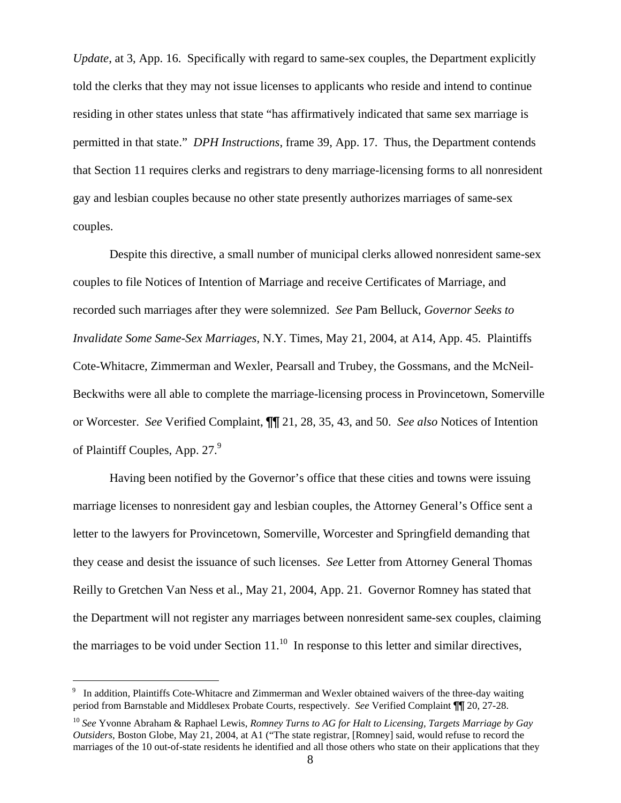<span id="page-7-1"></span>*Update*, at 3, App. 16. Specifically with regard to same-sex couples, the Department explicitly told the clerks that they may not issue licenses to applicants who reside and intend to continue residing in other states unless that state "has affirmatively indicated that same sex marriage is permitted in that state." *DPH Instructions*, frame 39, App. 17. Thus, the Department contends that Section 11 requires clerks and registrars to deny marriage-licensing forms to all nonresident gay and lesbian couples because no other state presently authorizes marriages of same-sex couples.

Despite this directive, a small number of municipal clerks allowed nonresident same-sex couples to file Notices of Intention of Marriage and receive Certificates of Marriage, and recorded such marriages after they were solemnized. *See* Pam Belluck, *Governor Seeks to Invalidate Some Same-Sex Marriages*, N.Y. Times, May 21, 2004, at A14, App. 45. Plaintiffs Cote-Whitacre, Zimmerman and Wexler, Pearsall and Trubey, the Gossmans, and the McNeil-Beckwiths were all able to complete the marriage-licensing process in Provincetown, Somerville or Worcester. *See* Verified Complaint, ¶¶ 21, 28, 35, 43, and 50. *See also* Notices of Intention of Plaintiff Couples, App. 27.<sup>[9](#page-7-0)</sup>

Having been notified by the Governor's office that these cities and towns were issuing marriage licenses to nonresident gay and lesbian couples, the Attorney General's Office sent a letter to the lawyers for Provincetown, Somerville, Worcester and Springfield demanding that they cease and desist the issuance of such licenses. *See* Letter from Attorney General Thomas Reilly to Gretchen Van Ness et al., May 21, 2004, App. 21. Governor Romney has stated that the Department will not register any marriages between nonresident same-sex couples, claiming the marriages to be void under Section  $11<sup>10</sup>$  In response to this letter and similar directives,

<span id="page-7-0"></span><sup>9</sup> In addition, Plaintiffs Cote-Whitacre and Zimmerman and Wexler obtained waivers of the three-day waiting period from Barnstable and Middlesex Probate Courts, respectively. *See* Verified Complaint ¶¶ 20, 27-28.

<sup>10</sup> *See* Yvonne Abraham & Raphael Lewis, *Romney Turns to AG for Halt to Licensing, Targets Marriage by Gay Outsiders*, Boston Globe, May 21, 2004, at A1 ("The state registrar, [Romney] said, would refuse to record the marriages of the 10 out-of-state residents he identified and all those others who state on their applications that they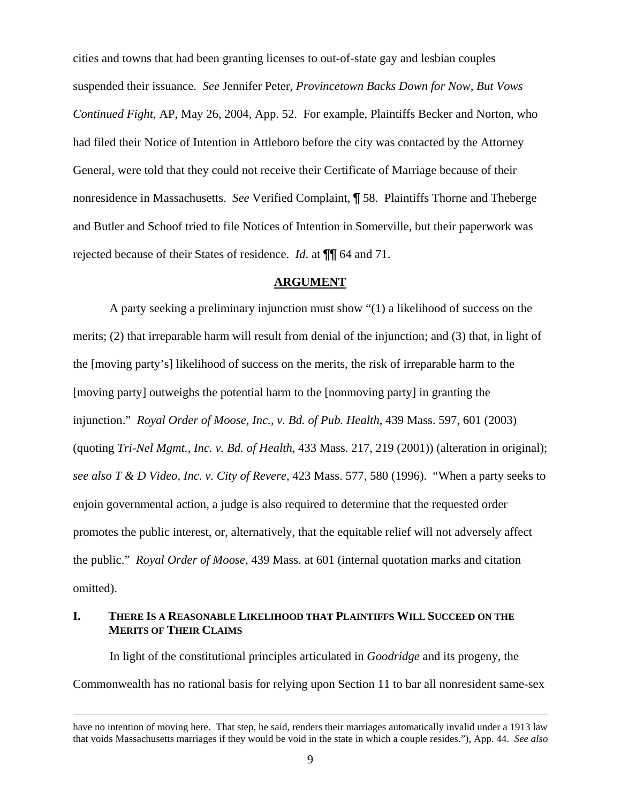cities and towns that had been granting licenses to out-of-state gay and lesbian couples suspended their issuance. *See* Jennifer Peter, *Provincetown Backs Down for Now, But Vows Continued Fight*, AP, May 26, 2004, App. 52. For example, Plaintiffs Becker and Norton, who had filed their Notice of Intention in Attleboro before the city was contacted by the Attorney General, were told that they could not receive their Certificate of Marriage because of their nonresidence in Massachusetts. *See* Verified Complaint, ¶ 58. Plaintiffs Thorne and Theberge and Butler and Schoof tried to file Notices of Intention in Somerville, but their paperwork was rejected because of their States of residence. *Id*. at ¶¶ 64 and 71.

#### **ARGUMENT**

A party seeking a preliminary injunction must show "(1) a likelihood of success on the merits; (2) that irreparable harm will result from denial of the injunction; and (3) that, in light of the [moving party's] likelihood of success on the merits, the risk of irreparable harm to the [moving party] outweighs the potential harm to the [nonmoving party] in granting the injunction." *Royal Order of Moose, Inc., v. Bd. of Pub. Health*, 439 Mass. 597, 601 (2003) (quoting *Tri-Nel Mgmt., Inc. v. Bd. of Health*, 433 Mass. 217, 219 (2001)) (alteration in original); *see also T & D Video, Inc. v. City of Revere*, 423 Mass. 577, 580 (1996). "When a party seeks to enjoin governmental action, a judge is also required to determine that the requested order promotes the public interest, or, alternatively, that the equitable relief will not adversely affect the public." *Royal Order of Moose*, 439 Mass. at 601 (internal quotation marks and citation omitted).

## **I. THERE IS A REASONABLE LIKELIHOOD THAT PLAINTIFFS WILL SUCCEED ON THE MERITS OF THEIR CLAIMS**

 $\overline{a}$ 

In light of the constitutional principles articulated in *Goodridge* and its progeny, the Commonwealth has no rational basis for relying upon Section 11 to bar all nonresident same-sex

have no intention of moving here. That step, he said, renders their marriages automatically invalid under a 1913 law that voids Massachusetts marriages if they would be void in the state in which a couple resides."), App. 44. *See also*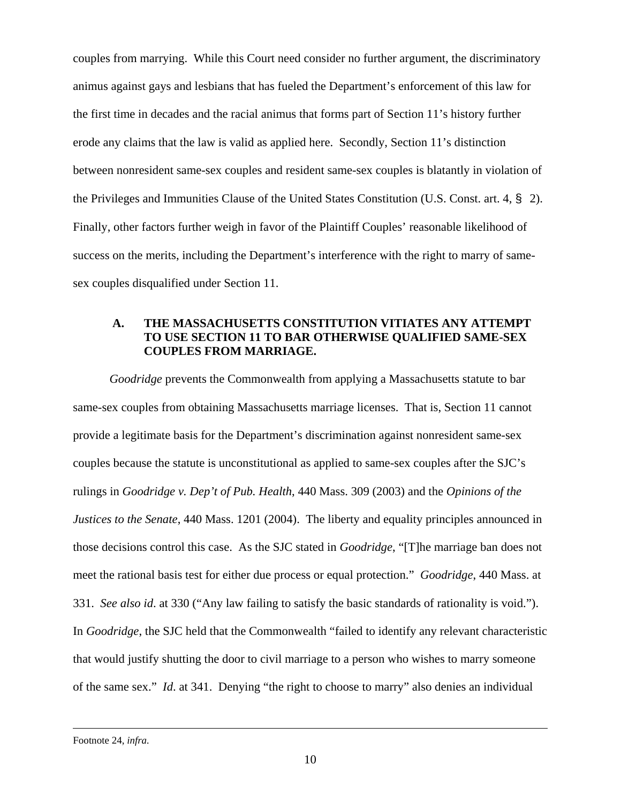couples from marrying. While this Court need consider no further argument, the discriminatory animus against gays and lesbians that has fueled the Department's enforcement of this law for the first time in decades and the racial animus that forms part of Section 11's history further erode any claims that the law is valid as applied here. Secondly, Section 11's distinction between nonresident same-sex couples and resident same-sex couples is blatantly in violation of the Privileges and Immunities Clause of the United States Constitution (U.S. Const. art. 4, § 2). Finally, other factors further weigh in favor of the Plaintiff Couples' reasonable likelihood of success on the merits, including the Department's interference with the right to marry of samesex couples disqualified under Section 11.

# **A. THE MASSACHUSETTS CONSTITUTION VITIATES ANY ATTEMPT TO USE SECTION 11 TO BAR OTHERWISE QUALIFIED SAME-SEX COUPLES FROM MARRIAGE.**

*Goodridge* prevents the Commonwealth from applying a Massachusetts statute to bar same-sex couples from obtaining Massachusetts marriage licenses. That is, Section 11 cannot provide a legitimate basis for the Department's discrimination against nonresident same-sex couples because the statute is unconstitutional as applied to same-sex couples after the SJC's rulings in *Goodridge v. Dep't of Pub. Health*, 440 Mass. 309 (2003) and the *Opinions of the Justices to the Senate*, 440 Mass. 1201 (2004). The liberty and equality principles announced in those decisions control this case. As the SJC stated in *Goodridge*, "[T]he marriage ban does not meet the rational basis test for either due process or equal protection." *Goodridge*, 440 Mass. at 331. *See also id*. at 330 ("Any law failing to satisfy the basic standards of rationality is void."). In *Goodridge*, the SJC held that the Commonwealth "failed to identify any relevant characteristic that would justify shutting the door to civil marriage to a person who wishes to marry someone of the same sex." *Id*. at 341. Denying "the right to choose to marry" also denies an individual

l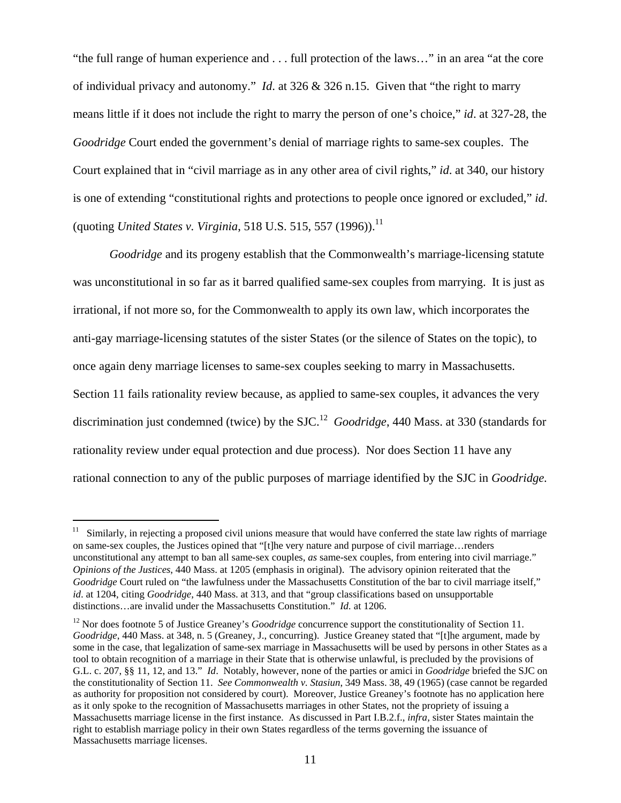"the full range of human experience and . . . full protection of the laws…" in an area "at the core of individual privacy and autonomy." *Id*. at 326 & 326 n.15. Given that "the right to marry means little if it does not include the right to marry the person of one's choice," *id*. at 327-28, the *Goodridge* Court ended the government's denial of marriage rights to same-sex couples. The Court explained that in "civil marriage as in any other area of civil rights," *id*. at 340, our history is one of extending "constitutional rights and protections to people once ignored or excluded," *id*. (quoting *United States v. Virginia*, 518 U.S. 515, 557 (1996)).<sup>[11](#page-10-0)</sup>

*Goodridge* and its progeny establish that the Commonwealth's marriage-licensing statute was unconstitutional in so far as it barred qualified same-sex couples from marrying. It is just as irrational, if not more so, for the Commonwealth to apply its own law, which incorporates the anti-gay marriage-licensing statutes of the sister States (or the silence of States on the topic), to once again deny marriage licenses to same-sex couples seeking to marry in Massachusetts. Section 11 fails rationality review because, as applied to same-sex couples, it advances the very discrimination just condemned (twice) by the SJC.[12](#page-10-1) *Goodridge*, 440 Mass. at 330 (standards for rationality review under equal protection and due process). Nor does Section 11 have any rational connection to any of the public purposes of marriage identified by the SJC in *Goodridge.* 

<span id="page-10-0"></span> $11$  Similarly, in rejecting a proposed civil unions measure that would have conferred the state law rights of marriage on same-sex couples, the Justices opined that "[t]he very nature and purpose of civil marriage…renders unconstitutional any attempt to ban all same-sex couples, *as* same-sex couples, from entering into civil marriage." *Opinions of the Justices*, 440 Mass. at 1205 (emphasis in original). The advisory opinion reiterated that the *Goodridge* Court ruled on "the lawfulness under the Massachusetts Constitution of the bar to civil marriage itself," *id*. at 1204, citing *Goodridge*, 440 Mass. at 313, and that "group classifications based on unsupportable distinctions…are invalid under the Massachusetts Constitution." *Id.* at 1206.

<span id="page-10-1"></span><sup>&</sup>lt;sup>12</sup> Nor does footnote 5 of Justice Greaney's *Goodridge* concurrence support the constitutionality of Section 11. *Goodridge*, 440 Mass. at 348, n. 5 (Greaney, J., concurring). Justice Greaney stated that "[t]he argument, made by some in the case, that legalization of same-sex marriage in Massachusetts will be used by persons in other States as a tool to obtain recognition of a marriage in their State that is otherwise unlawful, is precluded by the provisions of G.L. c. 207, §§ 11, 12, and 13." *Id*. Notably, however, none of the parties or amici in *Goodridge* briefed the SJC on the constitutionality of Section 11. *See Commonwealth v. Stasiun*, 349 Mass. 38, 49 (1965) (case cannot be regarded as authority for proposition not considered by court). Moreover, Justice Greaney's footnote has no application here as it only spoke to the recognition of Massachusetts marriages in other States, not the propriety of issuing a Massachusetts marriage license in the first instance. As discussed in Part I.B.2.f., *infra,* sister States maintain the right to establish marriage policy in their own States regardless of the terms governing the issuance of Massachusetts marriage licenses.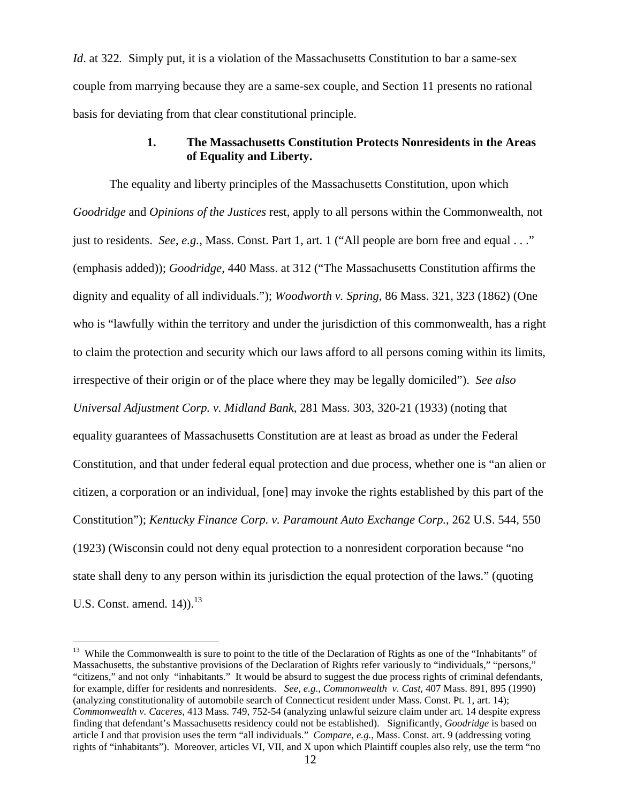<span id="page-11-0"></span>*Id.* at 322. Simply put, it is a violation of the Massachusetts Constitution to bar a same-sex couple from marrying because they are a same-sex couple, and Section 11 presents no rational basis for deviating from that clear constitutional principle.

## **1. The Massachusetts Constitution Protects Nonresidents in the Areas of Equality and Liberty.**

The equality and liberty principles of the Massachusetts Constitution, upon which *Goodridge* and *Opinions of the Justices* rest, apply to all persons within the Commonwealth, not just to residents. *See*, *e.g.*, Mass. Const. Part 1, art. 1 ("All people are born free and equal . . ." (emphasis added)); *Goodridge*, 440 Mass. at 312 ("The Massachusetts Constitution affirms the dignity and equality of all individuals."); *Woodworth v. Spring*, 86 Mass. 321, 323 (1862) (One who is "lawfully within the territory and under the jurisdiction of this commonwealth, has a right to claim the protection and security which our laws afford to all persons coming within its limits, irrespective of their origin or of the place where they may be legally domiciled"). *See also Universal Adjustment Corp. v. Midland Bank*, 281 Mass. 303, 320-21 (1933) (noting that equality guarantees of Massachusetts Constitution are at least as broad as under the Federal Constitution, and that under federal equal protection and due process, whether one is "an alien or citizen, a corporation or an individual, [one] may invoke the rights established by this part of the Constitution"); *Kentucky Finance Corp. v. Paramount Auto Exchange Corp.*, 262 U.S. 544, 550 (1923) (Wisconsin could not deny equal protection to a nonresident corporation because "no state shall deny to any person within its jurisdiction the equal protection of the laws." (quoting U.S. Const. amend.  $14$ )).<sup>13</sup>

<sup>&</sup>lt;sup>13</sup> While the Commonwealth is sure to point to the title of the Declaration of Rights as one of the "Inhabitants" of Massachusetts, the substantive provisions of the Declaration of Rights refer variously to "individuals," "persons," "citizens," and not only "inhabitants." It would be absurd to suggest the due process rights of criminal defendants, for example, differ for residents and nonresidents. *See, e.g., Commonwealth v. Cast*, 407 Mass. 891, 895 (1990) (analyzing constitutionality of automobile search of Connecticut resident under Mass. Const. Pt. 1, art. 14); *Commonwealth v. Caceres*, 413 Mass. 749, 752-54 (analyzing unlawful seizure claim under art. 14 despite express finding that defendant's Massachusetts residency could not be established). Significantly, *Goodridge* is based on article I and that provision uses the term "all individuals." *Compare*, *e.g.*, Mass. Const. art. 9 (addressing voting rights of "inhabitants"). Moreover, articles VI, VII, and X upon which Plaintiff couples also rely, use the term "no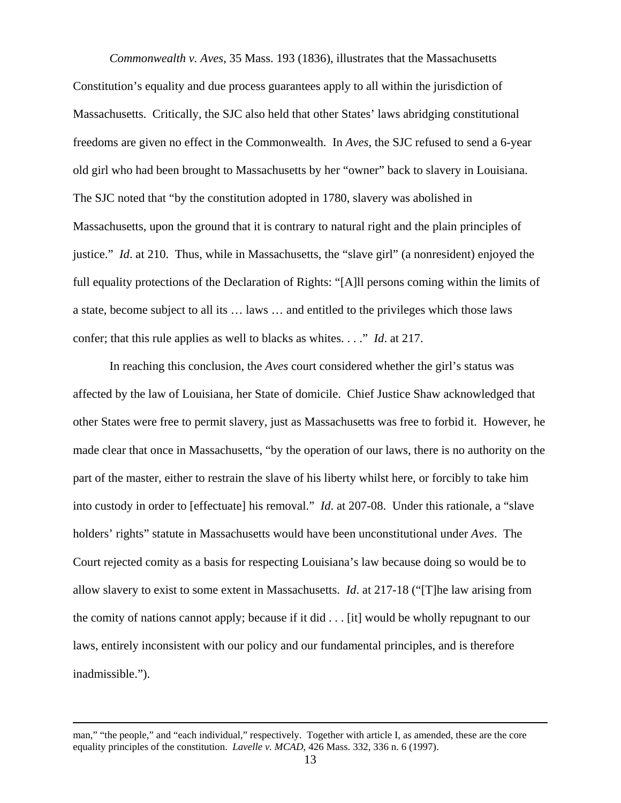*Commonwealth v. Aves*, 35 Mass. 193 (1836), illustrates that the Massachusetts Constitution's equality and due process guarantees apply to all within the jurisdiction of Massachusetts. Critically, the SJC also held that other States' laws abridging constitutional freedoms are given no effect in the Commonwealth. In *Aves*, the SJC refused to send a 6-year old girl who had been brought to Massachusetts by her "owner" back to slavery in Louisiana. The SJC noted that "by the constitution adopted in 1780, slavery was abolished in Massachusetts, upon the ground that it is contrary to natural right and the plain principles of justice." *Id*. at 210. Thus, while in Massachusetts, the "slave girl" (a nonresident) enjoyed the full equality protections of the Declaration of Rights: "[A]ll persons coming within the limits of a state, become subject to all its … laws … and entitled to the privileges which those laws confer; that this rule applies as well to blacks as whites. . . ." *Id*. at 217.

In reaching this conclusion, the *Aves* court considered whether the girl's status was affected by the law of Louisiana, her State of domicile. Chief Justice Shaw acknowledged that other States were free to permit slavery, just as Massachusetts was free to forbid it. However, he made clear that once in Massachusetts, "by the operation of our laws, there is no authority on the part of the master, either to restrain the slave of his liberty whilst here, or forcibly to take him into custody in order to [effectuate] his removal." *Id*. at 207-08. Under this rationale, a "slave holders' rights" statute in Massachusetts would have been unconstitutional under *Aves*. The Court rejected comity as a basis for respecting Louisiana's law because doing so would be to allow slavery to exist to some extent in Massachusetts. *Id*. at 217-18 ("[T]he law arising from the comity of nations cannot apply; because if it did . . . [it] would be wholly repugnant to our laws, entirely inconsistent with our policy and our fundamental principles, and is therefore inadmissible.").

man," "the people," and "each individual," respectively. Together with article I, as amended, these are the core equality principles of the constitution. *Lavelle v. MCAD*, 426 Mass. 332, 336 n. 6 (1997).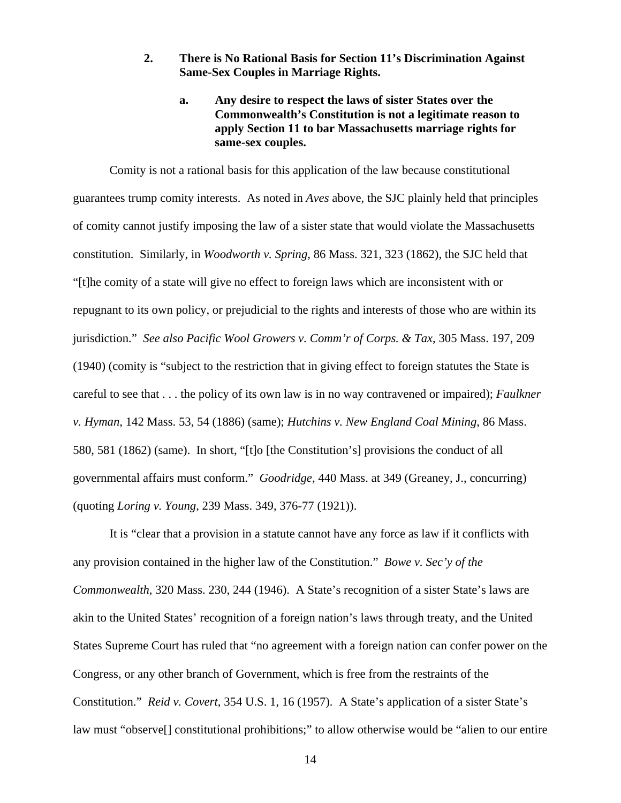## **2. There is No Rational Basis for Section 11's Discrimination Against Same-Sex Couples in Marriage Rights.**

# **a. Any desire to respect the laws of sister States over the Commonwealth's Constitution is not a legitimate reason to apply Section 11 to bar Massachusetts marriage rights for same-sex couples.**

Comity is not a rational basis for this application of the law because constitutional guarantees trump comity interests. As noted in *Aves* above, the SJC plainly held that principles of comity cannot justify imposing the law of a sister state that would violate the Massachusetts constitution. Similarly, in *Woodworth v. Spring*, 86 Mass. 321, 323 (1862), the SJC held that "[t]he comity of a state will give no effect to foreign laws which are inconsistent with or repugnant to its own policy, or prejudicial to the rights and interests of those who are within its jurisdiction." *See also Pacific Wool Growers v. Comm'r of Corps. & Tax*, 305 Mass. 197, 209 (1940) (comity is "subject to the restriction that in giving effect to foreign statutes the State is careful to see that . . . the policy of its own law is in no way contravened or impaired); *Faulkner v. Hyman*, 142 Mass. 53, 54 (1886) (same); *Hutchins v. New England Coal Mining*, 86 Mass. 580, 581 (1862) (same). In short, "[t]o [the Constitution's] provisions the conduct of all governmental affairs must conform." *Goodridge*, 440 Mass. at 349 (Greaney, J., concurring) (quoting *Loring v. Young*, 239 Mass. 349, 376-77 (1921)).

It is "clear that a provision in a statute cannot have any force as law if it conflicts with any provision contained in the higher law of the Constitution." *Bowe v. Sec'y of the Commonwealth*, 320 Mass. 230, 244 (1946). A State's recognition of a sister State's laws are akin to the United States' recognition of a foreign nation's laws through treaty, and the United States Supreme Court has ruled that "no agreement with a foreign nation can confer power on the Congress, or any other branch of Government, which is free from the restraints of the Constitution." *Reid v. Covert*, 354 U.S. 1, 16 (1957). A State's application of a sister State's law must "observe[] constitutional prohibitions;" to allow otherwise would be "alien to our entire

14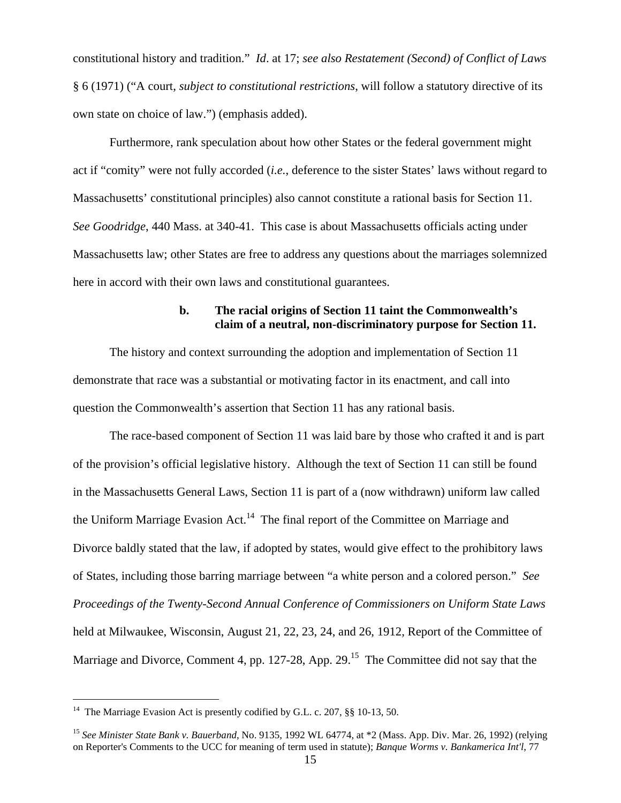<span id="page-14-1"></span>constitutional history and tradition." *Id*. at 17; *see also Restatement (Second) of Conflict of Laws* § 6 (1971) ("A court, *subject to constitutional restrictions*, will follow a statutory directive of its own state on choice of law.") (emphasis added).

Furthermore, rank speculation about how other States or the federal government might act if "comity" were not fully accorded (*i.e.*, deference to the sister States' laws without regard to Massachusetts' constitutional principles) also cannot constitute a rational basis for Section 11. *See Goodridge*, 440 Mass. at 340-41. This case is about Massachusetts officials acting under Massachusetts law; other States are free to address any questions about the marriages solemnized here in accord with their own laws and constitutional guarantees.

## **b. The racial origins of Section 11 taint the Commonwealth's claim of a neutral, non-discriminatory purpose for Section 11.**

The history and context surrounding the adoption and implementation of Section 11 demonstrate that race was a substantial or motivating factor in its enactment, and call into question the Commonwealth's assertion that Section 11 has any rational basis.

The race-based component of Section 11 was laid bare by those who crafted it and is part of the provision's official legislative history. Although the text of Section 11 can still be found in the Massachusetts General Laws, Section 11 is part of a (now withdrawn) uniform law called the Uniform Marriage Evasion Act.<sup>14</sup> The final report of the Committee on Marriage and Divorce baldly stated that the law, if adopted by states, would give effect to the prohibitory laws of States, including those barring marriage between "a white person and a colored person." *See Proceedings of the Twenty-Second Annual Conference of Commissioners on Uniform State Laws* held at Milwaukee, Wisconsin, August 21, 22, 23, 24, and 26, 1912, Report of the Committee of Marriage and Divorce, Comment 4, pp. 127-28, App. 29.<sup>15</sup> The Committee did not say that the

l

<span id="page-14-0"></span><sup>&</sup>lt;sup>14</sup> The Marriage Evasion Act is presently codified by G.L. c. 207, §§ 10-13, 50.

<sup>15</sup> *See Minister State Bank v. Bauerband*, No. 9135, 1992 WL 64774, at \*2 (Mass. App. Div. Mar. 26, 1992) (relying on Reporter's Comments to the UCC for meaning of term used in statute); *Banque Worms v. Bankamerica Int'l*, 77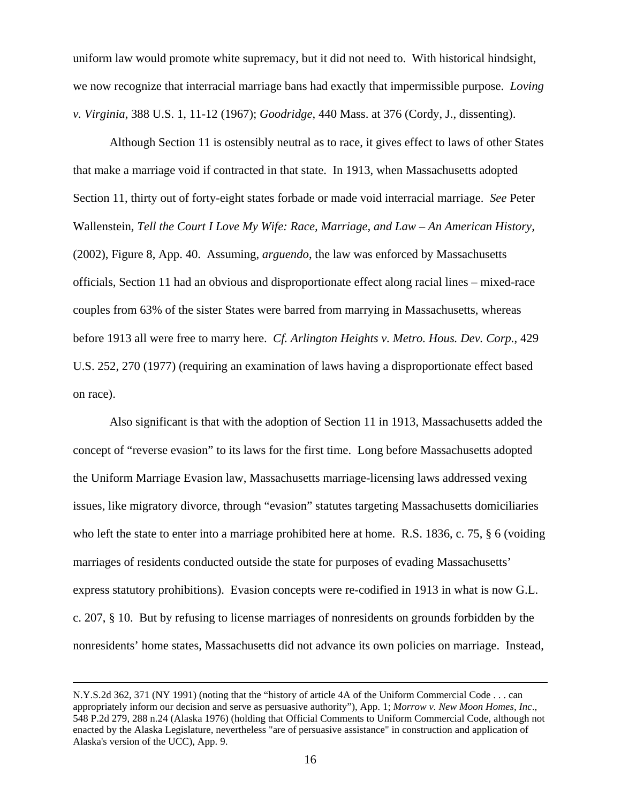uniform law would promote white supremacy, but it did not need to. With historical hindsight, we now recognize that interracial marriage bans had exactly that impermissible purpose. *Loving v. Virginia*, 388 U.S. 1, 11-12 (1967); *Goodridge*, 440 Mass. at 376 (Cordy, J., dissenting).

Although Section 11 is ostensibly neutral as to race, it gives effect to laws of other States that make a marriage void if contracted in that state. In 1913, when Massachusetts adopted Section 11, thirty out of forty-eight states forbade or made void interracial marriage. *See* Peter Wallenstein*, Tell the Court I Love My Wife: Race, Marriage, and Law – An American History,*  (2002), Figure 8, App. 40. Assuming, *arguendo*, the law was enforced by Massachusetts officials, Section 11 had an obvious and disproportionate effect along racial lines – mixed-race couples from 63% of the sister States were barred from marrying in Massachusetts, whereas before 1913 all were free to marry here. *Cf. Arlington Heights v. Metro. Hous. Dev. Corp.*, 429 U.S. 252, 270 (1977) (requiring an examination of laws having a disproportionate effect based on race).

Also significant is that with the adoption of Section 11 in 1913, Massachusetts added the concept of "reverse evasion" to its laws for the first time. Long before Massachusetts adopted the Uniform Marriage Evasion law, Massachusetts marriage-licensing laws addressed vexing issues, like migratory divorce, through "evasion" statutes targeting Massachusetts domiciliaries who left the state to enter into a marriage prohibited here at home. R.S. 1836, c. 75, § 6 (voiding marriages of residents conducted outside the state for purposes of evading Massachusetts' express statutory prohibitions). Evasion concepts were re-codified in 1913 in what is now G.L. c. 207, § 10. But by refusing to license marriages of nonresidents on grounds forbidden by the nonresidents' home states, Massachusetts did not advance its own policies on marriage. Instead,

l

N.Y.S.2d 362, 371 (NY 1991) (noting that the "history of article 4A of the Uniform Commercial Code . . . can appropriately inform our decision and serve as persuasive authority"), App. 1; *Morrow v. New Moon Homes, Inc*., 548 P.2d 279, 288 n.24 (Alaska 1976) (holding that Official Comments to Uniform Commercial Code, although not enacted by the Alaska Legislature, nevertheless "are of persuasive assistance" in construction and application of Alaska's version of the UCC), App. 9.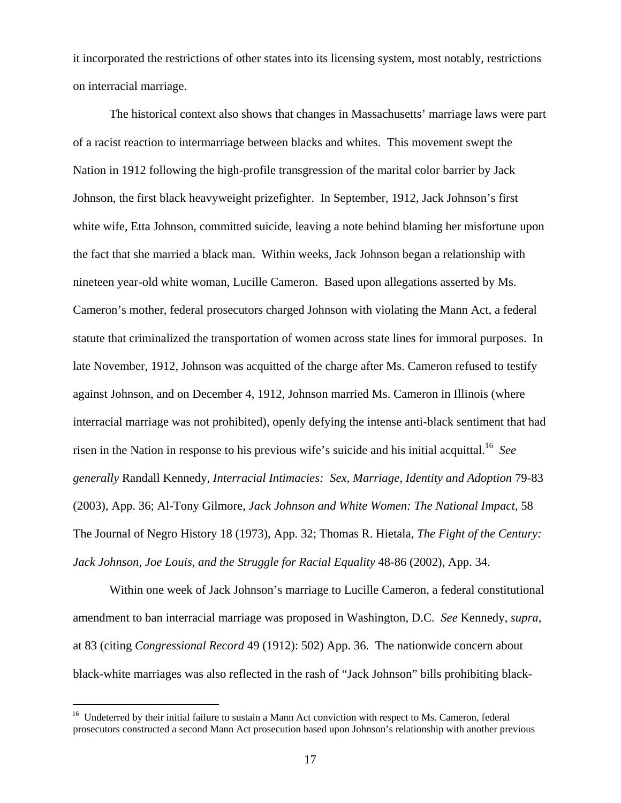<span id="page-16-0"></span>it incorporated the restrictions of other states into its licensing system, most notably, restrictions on interracial marriage.

The historical context also shows that changes in Massachusetts' marriage laws were part of a racist reaction to intermarriage between blacks and whites. This movement swept the Nation in 1912 following the high-profile transgression of the marital color barrier by Jack Johnson, the first black heavyweight prizefighter. In September, 1912, Jack Johnson's first white wife, Etta Johnson, committed suicide, leaving a note behind blaming her misfortune upon the fact that she married a black man. Within weeks, Jack Johnson began a relationship with nineteen year-old white woman, Lucille Cameron. Based upon allegations asserted by Ms. Cameron's mother, federal prosecutors charged Johnson with violating the Mann Act, a federal statute that criminalized the transportation of women across state lines for immoral purposes. In late November, 1912, Johnson was acquitted of the charge after Ms. Cameron refused to testify against Johnson, and on December 4, 1912, Johnson married Ms. Cameron in Illinois (where interracial marriage was not prohibited), openly defying the intense anti-black sentiment that had risen in the Nation in response to his previous wife's suicide and his initial acquittal.[16](#page-16-0) *See generally* Randall Kennedy, *Interracial Intimacies: Sex, Marriage, Identity and Adoption* 79-83 (2003), App. 36; Al-Tony Gilmore, *Jack Johnson and White Women: The National Impact*, 58 The Journal of Negro History 18 (1973), App. 32; Thomas R. Hietala, *The Fight of the Century: Jack Johnson, Joe Louis, and the Struggle for Racial Equality* 48-86 (2002), App. 34.

Within one week of Jack Johnson's marriage to Lucille Cameron, a federal constitutional amendment to ban interracial marriage was proposed in Washington, D.C. *See* Kennedy, *supra*, at 83 (citing *Congressional Record* 49 (1912): 502) App. 36. The nationwide concern about black-white marriages was also reflected in the rash of "Jack Johnson" bills prohibiting black-

<sup>&</sup>lt;sup>16</sup> Undeterred by their initial failure to sustain a Mann Act conviction with respect to Ms. Cameron, federal prosecutors constructed a second Mann Act prosecution based upon Johnson's relationship with another previous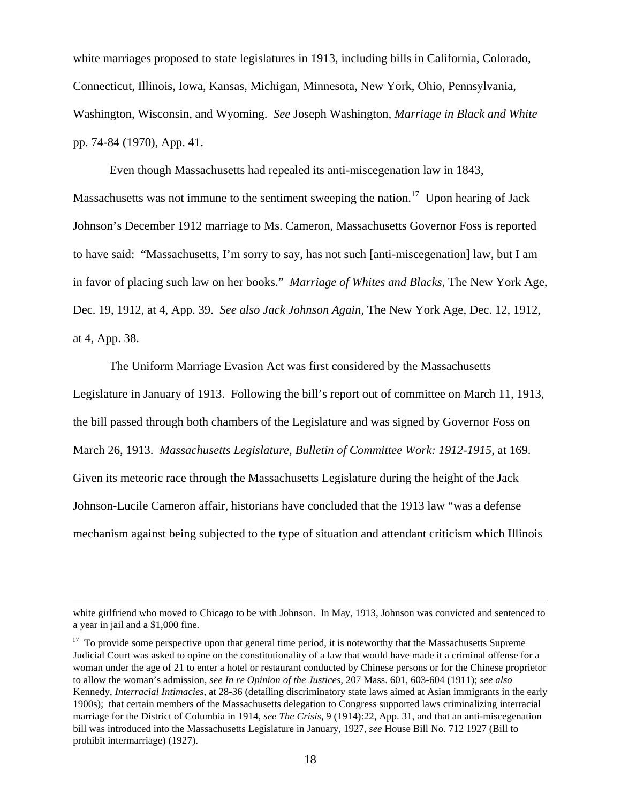white marriages proposed to state legislatures in 1913, including bills in California, Colorado, Connecticut, Illinois, Iowa, Kansas, Michigan, Minnesota, New York, Ohio, Pennsylvania, Washington, Wisconsin, and Wyoming. *See* Joseph Washington, *Marriage in Black and White* pp. 74-84 (1970), App. 41.

Even though Massachusetts had repealed its anti-miscegenation law in 1843, Massachusetts was not immune to the sentiment sweeping the nation.<sup>17</sup> Upon hearing of Jack Johnson's December 1912 marriage to Ms. Cameron, Massachusetts Governor Foss is reported to have said: "Massachusetts, I'm sorry to say, has not such [anti-miscegenation] law, but I am in favor of placing such law on her books." *Marriage of Whites and Blacks*, The New York Age, Dec. 19, 1912, at 4, App. 39. *See also Jack Johnson Again,* The New York Age*,* Dec. 12, 1912, at 4, App. 38.

The Uniform Marriage Evasion Act was first considered by the Massachusetts Legislature in January of 1913. Following the bill's report out of committee on March 11, 1913, the bill passed through both chambers of the Legislature and was signed by Governor Foss on March 26, 1913. *Massachusetts Legislature, Bulletin of Committee Work: 1912-1915*, at 169. Given its meteoric race through the Massachusetts Legislature during the height of the Jack Johnson-Lucile Cameron affair, historians have concluded that the 1913 law "was a defense mechanism against being subjected to the type of situation and attendant criticism which Illinois

white girlfriend who moved to Chicago to be with Johnson. In May, 1913, Johnson was convicted and sentenced to a year in jail and a \$1,000 fine.

<span id="page-17-0"></span> $17$  To provide some perspective upon that general time period, it is noteworthy that the Massachusetts Supreme Judicial Court was asked to opine on the constitutionality of a law that would have made it a criminal offense for a woman under the age of 21 to enter a hotel or restaurant conducted by Chinese persons or for the Chinese proprietor to allow the woman's admission, *see In re Opinion of the Justices,* 207 Mass. 601, 603-604 (1911); *see also* Kennedy, *Interracial Intimacies*, at 28-36 (detailing discriminatory state laws aimed at Asian immigrants in the early 1900s); that certain members of the Massachusetts delegation to Congress supported laws criminalizing interracial marriage for the District of Columbia in 1914, *see The Crisis*, 9 (1914):22, App. 31, and that an anti-miscegenation bill was introduced into the Massachusetts Legislature in January, 1927, *see* House Bill No. 712 1927 (Bill to prohibit intermarriage) (1927).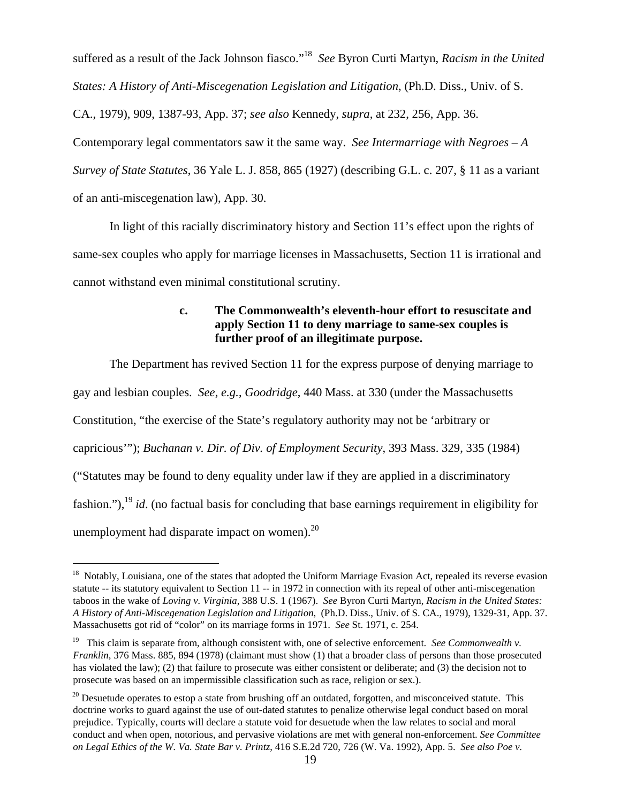<span id="page-18-2"></span>suffered as a result of the Jack Johnson fiasco."[18](#page-18-0) *See* Byron Curti Martyn, *Racism in the United States: A History of Anti-Miscegenation Legislation and Litigation*, (Ph.D. Diss., Univ. of S.

CA., 1979), 909, 1387-93, App. 37; *see also* Kennedy, *supra*, at 232, 256, App. 36.

Contemporary legal commentators saw it the same way. *See Intermarriage with Negroes – A Survey of State Statutes*, 36 Yale L. J. 858, 865 (1927) (describing G.L. c. 207, § 11 as a variant of an anti-miscegenation law), App. 30.

In light of this racially discriminatory history and Section 11's effect upon the rights of same-sex couples who apply for marriage licenses in Massachusetts, Section 11 is irrational and cannot withstand even minimal constitutional scrutiny.

# **c. The Commonwealth's eleventh-hour effort to resuscitate and apply Section 11 to deny marriage to same-sex couples is further proof of an illegitimate purpose.**

The Department has revived Section 11 for the express purpose of denying marriage to gay and lesbian couples. *See*, *e.g.*, *Goodridge*, 440 Mass. at 330 (under the Massachusetts Constitution, "the exercise of the State's regulatory authority may not be 'arbitrary or capricious'"); *Buchanan v. Dir. of Div. of Employment Security*, 393 Mass. 329, 335 (1984) ("Statutes may be found to deny equality under law if they are applied in a discriminatory fashion."),[19](#page-18-1) *id*. (no factual basis for concluding that base earnings requirement in eligibility for unemployment had disparate impact on women). $^{20}$ 

<span id="page-18-0"></span><sup>&</sup>lt;sup>18</sup> Notably, Louisiana, one of the states that adopted the Uniform Marriage Evasion Act, repealed its reverse evasion statute -- its statutory equivalent to Section 11 -- in 1972 in connection with its repeal of other anti-miscegenation taboos in the wake of *Loving v. Virginia,* 388 U.S. 1 (1967). *See* Byron Curti Martyn, *Racism in the United States: A History of Anti-Miscegenation Legislation and Litigation*, (Ph.D. Diss., Univ. of S. CA., 1979), 1329-31, App. 37. Massachusetts got rid of "color" on its marriage forms in 1971. *See* St. 1971, c. 254.

<span id="page-18-1"></span><sup>&</sup>lt;sup>19</sup> This claim is separate from, although consistent with, one of selective enforcement. *See Commonwealth v*. *Franklin*, 376 Mass. 885, 894 (1978) (claimant must show (1) that a broader class of persons than those prosecuted has violated the law); (2) that failure to prosecute was either consistent or deliberate; and (3) the decision not to prosecute was based on an impermissible classification such as race, religion or sex.).

 $^{20}$  Desuetude operates to estop a state from brushing off an outdated, forgotten, and misconceived statute. This doctrine works to guard against the use of out-dated statutes to penalize otherwise legal conduct based on moral prejudice. Typically, courts will declare a statute void for desuetude when the law relates to social and moral conduct and when open, notorious, and pervasive violations are met with general non-enforcement. *See Committee on Legal Ethics of the W. Va. State Bar v. Printz*, 416 S.E.2d 720, 726 (W. Va. 1992), App. 5. *See also Poe v.*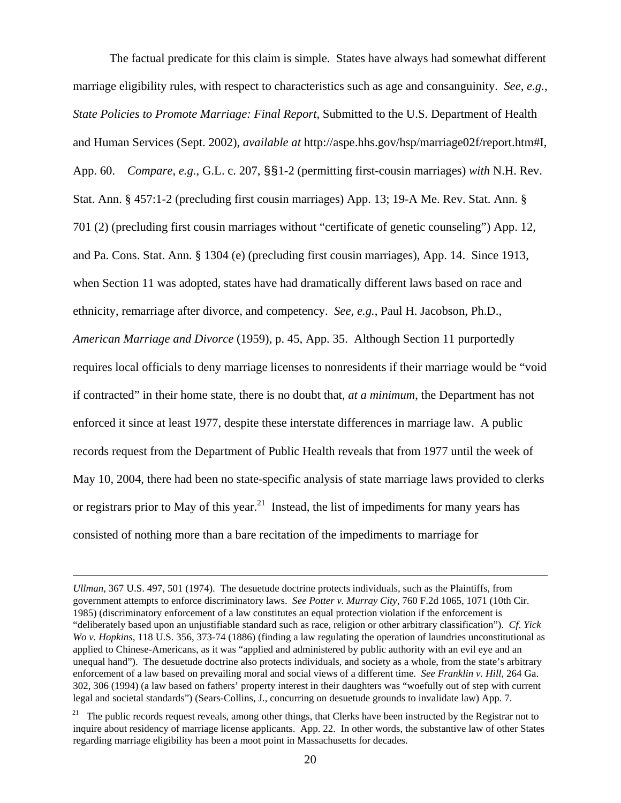The factual predicate for this claim is simple. States have always had somewhat different marriage eligibility rules, with respect to characteristics such as age and consanguinity. *See*, *e.g.*, *State Policies to Promote Marriage: Final Report*, Submitted to the U.S. Department of Health and Human Services (Sept. 2002), *available at* http://aspe.hhs.gov/hsp/marriage02f/report.htm#I, App. 60. *Compare*, *e.g.*, G.L. c. 207, §§1-2 (permitting first-cousin marriages) *with* N.H. Rev. Stat. Ann. § 457:1-2 (precluding first cousin marriages) App. 13; 19-A Me. Rev. Stat. Ann. § 701 (2) (precluding first cousin marriages without "certificate of genetic counseling") App. 12, and Pa. Cons. Stat. Ann. § 1304 (e) (precluding first cousin marriages), App. 14. Since 1913, when Section 11 was adopted, states have had dramatically different laws based on race and ethnicity, remarriage after divorce, and competency. *See*, *e.g.*, Paul H. Jacobson, Ph.D., *American Marriage and Divorce* (1959), p. 45, App. 35. Although Section 11 purportedly requires local officials to deny marriage licenses to nonresidents if their marriage would be "void if contracted" in their home state, there is no doubt that, *at a minimum*, the Department has not enforced it since at least 1977, despite these interstate differences in marriage law. A public records request from the Department of Public Health reveals that from 1977 until the week of May 10, 2004, there had been no state-specific analysis of state marriage laws provided to clerks or registrars prior to May of this year.<sup>21</sup> Instead, the list of impediments for many years has consisted of nothing more than a bare recitation of the impediments to marriage for

*Ullman*, 367 U.S. 497, 501 (1974). The desuetude doctrine protects individuals, such as the Plaintiffs, from government attempts to enforce discriminatory laws. *See Potter v. Murray City*, 760 F.2d 1065, 1071 (10th Cir. 1985) (discriminatory enforcement of a law constitutes an equal protection violation if the enforcement is "deliberately based upon an unjustifiable standard such as race, religion or other arbitrary classification"). *Cf*. *Yick Wo v. Hopkins*, 118 U.S. 356, 373-74 (1886) (finding a law regulating the operation of laundries unconstitutional as applied to Chinese-Americans, as it was "applied and administered by public authority with an evil eye and an unequal hand"). The desuetude doctrine also protects individuals, and society as a whole, from the state's arbitrary enforcement of a law based on prevailing moral and social views of a different time. *See Franklin v. Hill,* 264 Ga. 302, 306 (1994) (a law based on fathers' property interest in their daughters was "woefully out of step with current legal and societal standards") (Sears-Collins, J., concurring on desuetude grounds to invalidate law) App. 7.

<span id="page-19-0"></span> $21$  The public records request reveals, among other things, that Clerks have been instructed by the Registrar not to inquire about residency of marriage license applicants. App. 22. In other words, the substantive law of other States regarding marriage eligibility has been a moot point in Massachusetts for decades.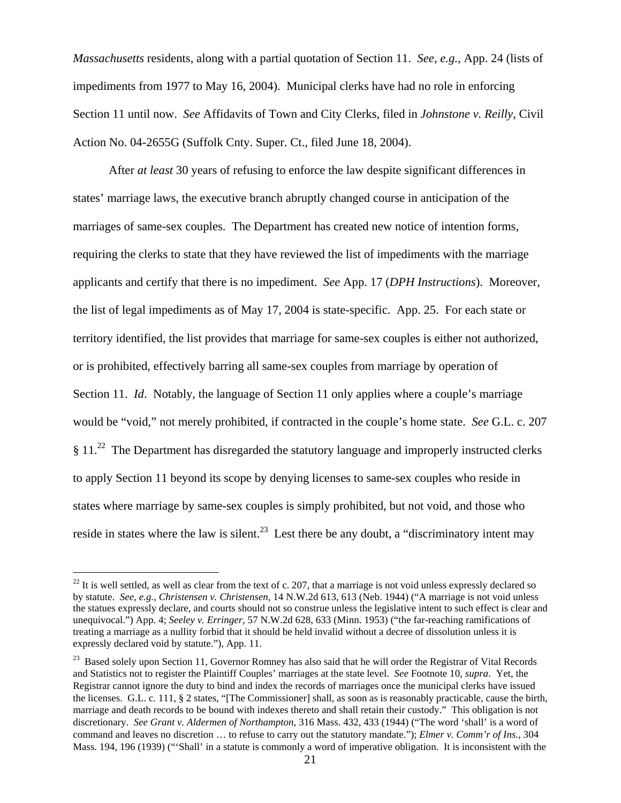<span id="page-20-1"></span>*Massachusetts* residents, along with a partial quotation of Section 11. *See*, *e.g.*, App. 24 (lists of impediments from 1977 to May 16, 2004). Municipal clerks have had no role in enforcing Section 11 until now. *See* Affidavits of Town and City Clerks, filed in *Johnstone v. Reilly,* Civil Action No. 04-2655G (Suffolk Cnty. Super. Ct., filed June 18, 2004).

After *at least* 30 years of refusing to enforce the law despite significant differences in states' marriage laws, the executive branch abruptly changed course in anticipation of the marriages of same-sex couples. The Department has created new notice of intention forms, requiring the clerks to state that they have reviewed the list of impediments with the marriage applicants and certify that there is no impediment. *See* App. 17 (*DPH Instructions*). Moreover, the list of legal impediments as of May 17, 2004 is state-specific. App. 25. For each state or territory identified, the list provides that marriage for same-sex couples is either not authorized, or is prohibited, effectively barring all same-sex couples from marriage by operation of Section 11. *Id*. Notably, the language of Section 11 only applies where a couple's marriage would be "void," not merely prohibited, if contracted in the couple's home state. *See* G.L. c. 207 § 11[.22](#page-20-0) The Department has disregarded the statutory language and improperly instructed clerks to apply Section 11 beyond its scope by denying licenses to same-sex couples who reside in states where marriage by same-sex couples is simply prohibited, but not void, and those who reside in states where the law is silent.<sup>23</sup> Lest there be any doubt, a "discriminatory intent may

<span id="page-20-0"></span> $^{22}$  It is well settled, as well as clear from the text of c. 207, that a marriage is not void unless expressly declared so by statute. *See*, *e.g.*, *Christensen v. Christensen*, 14 N.W.2d 613, 613 (Neb. 1944) ("A marriage is not void unless the statues expressly declare, and courts should not so construe unless the legislative intent to such effect is clear and unequivocal.") App. 4; *Seeley v. Erringer*, 57 N.W.2d 628, 633 (Minn. 1953) ("the far-reaching ramifications of treating a marriage as a nullity forbid that it should be held invalid without a decree of dissolution unless it is expressly declared void by statute."), App. 11.

<sup>&</sup>lt;sup>23</sup> Based solely upon Section 11, Governor Romney has also said that he will order the Registrar of Vital Records and Statistics not to register the Plaintiff Couples' marriages at the state level. *See* Footnote 10, *supra*. Yet, the Registrar cannot ignore the duty to bind and index the records of marriages once the municipal clerks have issued the licenses. G.L. c. 111, § 2 states, "[The Commissioner] shall, as soon as is reasonably practicable, cause the birth, marriage and death records to be bound with indexes thereto and shall retain their custody." This obligation is not discretionary. *See Grant v. Aldermen of Northampton*, 316 Mass. 432, 433 (1944) ("The word 'shall' is a word of command and leaves no discretion … to refuse to carry out the statutory mandate."); *Elmer v. Comm'r of Ins.*, 304 Mass. 194, 196 (1939) ("'Shall' in a statute is commonly a word of imperative obligation. It is inconsistent with the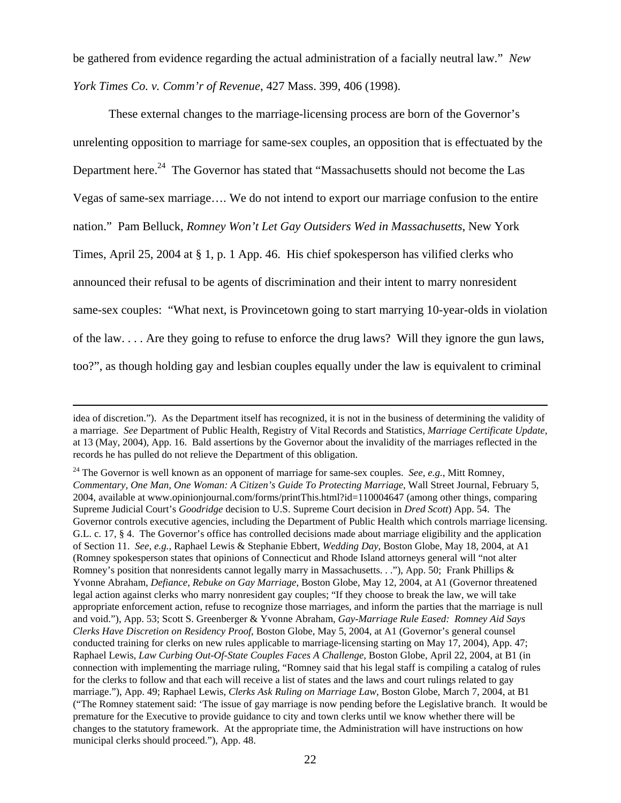be gathered from evidence regarding the actual administration of a facially neutral law." *New York Times Co. v. Comm'r of Revenue*, 427 Mass. 399, 406 (1998).

These external changes to the marriage-licensing process are born of the Governor's unrelenting opposition to marriage for same-sex couples, an opposition that is effectuated by the Department here.<sup>24</sup> The Governor has stated that "Massachusetts should not become the Las Vegas of same-sex marriage…. We do not intend to export our marriage confusion to the entire nation." Pam Belluck, *Romney Won't Let Gay Outsiders Wed in Massachusetts*, New York Times, April 25, 2004 at § 1, p. 1 App. 46. His chief spokesperson has vilified clerks who announced their refusal to be agents of discrimination and their intent to marry nonresident same-sex couples: "What next, is Provincetown going to start marrying 10-year-olds in violation of the law. . . . Are they going to refuse to enforce the drug laws? Will they ignore the gun laws, too?", as though holding gay and lesbian couples equally under the law is equivalent to criminal

idea of discretion."). As the Department itself has recognized, it is not in the business of determining the validity of a marriage. *See* Department of Public Health, Registry of Vital Records and Statistics, *Marriage Certificate Update*, at 13 (May, 2004), App. 16. Bald assertions by the Governor about the invalidity of the marriages reflected in the records he has pulled do not relieve the Department of this obligation.

<span id="page-21-0"></span><sup>24</sup> The Governor is well known as an opponent of marriage for same-sex couples. *See*, *e.g.*, Mitt Romney, *Commentary, One Man, One Woman: A Citizen's Guide To Protecting Marriage*, Wall Street Journal, February 5, 2004, available at www.opinionjournal.com/forms/printThis.html?id=110004647 (among other things, comparing Supreme Judicial Court's *Goodridge* decision to U.S. Supreme Court decision in *Dred Scott*) App. 54. The Governor controls executive agencies, including the Department of Public Health which controls marriage licensing. G.L. c. 17, § 4. The Governor's office has controlled decisions made about marriage eligibility and the application of Section 11. *See*, *e.g.*, Raphael Lewis & Stephanie Ebbert, *Wedding Day*, Boston Globe, May 18, 2004, at A1 (Romney spokesperson states that opinions of Connecticut and Rhode Island attorneys general will "not alter Romney's position that nonresidents cannot legally marry in Massachusetts. . ."), App. 50; Frank Phillips & Yvonne Abraham, *Defiance, Rebuke on Gay Marriage*, Boston Globe, May 12, 2004, at A1 (Governor threatened legal action against clerks who marry nonresident gay couples; "If they choose to break the law, we will take appropriate enforcement action, refuse to recognize those marriages, and inform the parties that the marriage is null and void."), App. 53; Scott S. Greenberger & Yvonne Abraham, *Gay-Marriage Rule Eased: Romney Aid Says Clerks Have Discretion on Residency Proof*, Boston Globe, May 5, 2004, at A1 (Governor's general counsel conducted training for clerks on new rules applicable to marriage-licensing starting on May 17, 2004), App. 47; Raphael Lewis, *Law Curbing Out-Of-State Couples Faces A Challenge*, Boston Globe, April 22, 2004, at B1 (in connection with implementing the marriage ruling, "Romney said that his legal staff is compiling a catalog of rules for the clerks to follow and that each will receive a list of states and the laws and court rulings related to gay marriage."), App. 49; Raphael Lewis, *Clerks Ask Ruling on Marriage Law*, Boston Globe, March 7, 2004, at B1 ("The Romney statement said: 'The issue of gay marriage is now pending before the Legislative branch. It would be premature for the Executive to provide guidance to city and town clerks until we know whether there will be changes to the statutory framework. At the appropriate time, the Administration will have instructions on how municipal clerks should proceed."), App. 48.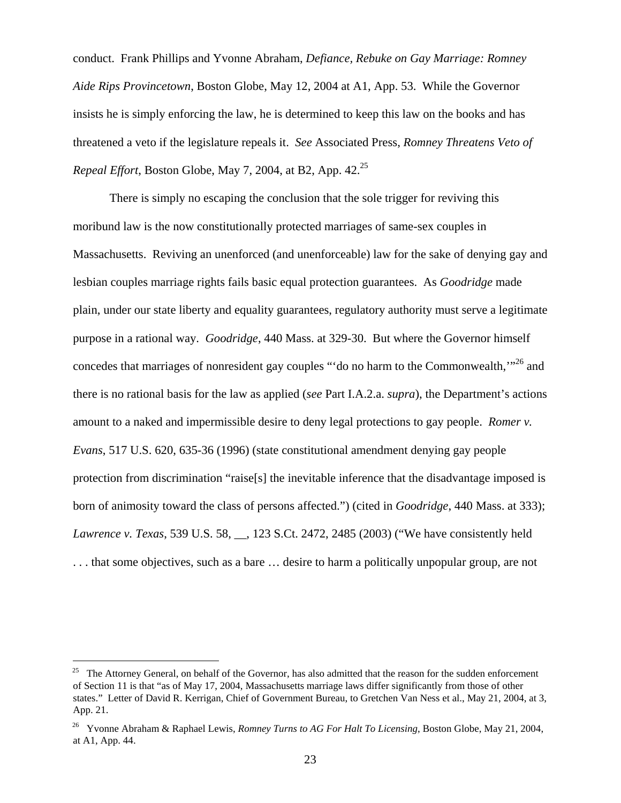conduct. Frank Phillips and Yvonne Abraham, *Defiance, Rebuke on Gay Marriage: Romney Aide Rips Provincetown*, Boston Globe, May 12, 2004 at A1, App. 53. While the Governor insists he is simply enforcing the law, he is determined to keep this law on the books and has threatened a veto if the legislature repeals it. *See* Associated Press, *Romney Threatens Veto of Repeal Effort*, Boston Globe, May 7, 2004, at B2, App. 42.<sup>25</sup>

There is simply no escaping the conclusion that the sole trigger for reviving this moribund law is the now constitutionally protected marriages of same-sex couples in Massachusetts. Reviving an unenforced (and unenforceable) law for the sake of denying gay and lesbian couples marriage rights fails basic equal protection guarantees. As *Goodridge* made plain, under our state liberty and equality guarantees, regulatory authority must serve a legitimate purpose in a rational way. *Goodridge*, 440 Mass. at 329-30. But where the Governor himself concedes that marriages of nonresident gay couples "'do no harm to the Commonwealth,"<sup>26</sup> and there is no rational basis for the law as applied (*see* Part I.A.2.a. *supra*), the Department's actions amount to a naked and impermissible desire to deny legal protections to gay people. *Romer v. Evans*, 517 U.S. 620, 635-36 (1996) (state constitutional amendment denying gay people protection from discrimination "raise[s] the inevitable inference that the disadvantage imposed is born of animosity toward the class of persons affected.") (cited in *Goodridge*, 440 Mass. at 333); *Lawrence v. Texas*, 539 U.S. 58, \_\_, 123 S.Ct. 2472, 2485 (2003) ("We have consistently held . . . that some objectives, such as a bare … desire to harm a politically unpopular group, are not

<span id="page-22-0"></span><sup>&</sup>lt;sup>25</sup> The Attorney General, on behalf of the Governor, has also admitted that the reason for the sudden enforcement of Section 11 is that "as of May 17, 2004, Massachusetts marriage laws differ significantly from those of other states." Letter of David R. Kerrigan, Chief of Government Bureau, to Gretchen Van Ness et al., May 21, 2004, at 3, App. 21.

<span id="page-22-1"></span><sup>26</sup> Yvonne Abraham & Raphael Lewis, *Romney Turns to AG For Halt To Licensing*, Boston Globe, May 21, 2004, at A1, App. 44.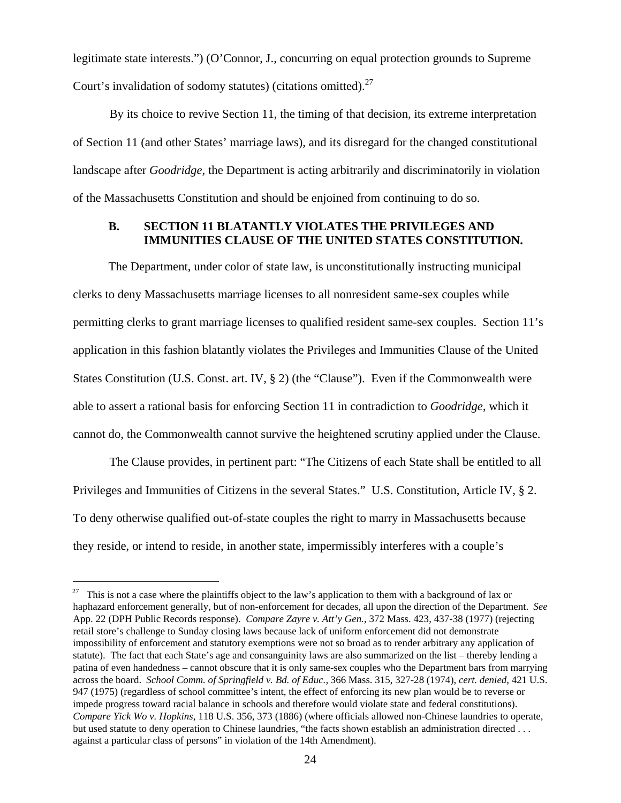legitimate state interests.") (O'Connor, J., concurring on equal protection grounds to Supreme Court's invalidation of sodomy statutes) (citations omitted).[27](#page-23-0) 

By its choice to revive Section 11, the timing of that decision, its extreme interpretation of Section 11 (and other States' marriage laws), and its disregard for the changed constitutional landscape after *Goodridge*, the Department is acting arbitrarily and discriminatorily in violation of the Massachusetts Constitution and should be enjoined from continuing to do so.

## **B. SECTION 11 BLATANTLY VIOLATES THE PRIVILEGES AND IMMUNITIES CLAUSE OF THE UNITED STATES CONSTITUTION.**

The Department, under color of state law, is unconstitutionally instructing municipal clerks to deny Massachusetts marriage licenses to all nonresident same-sex couples while permitting clerks to grant marriage licenses to qualified resident same-sex couples. Section 11's application in this fashion blatantly violates the Privileges and Immunities Clause of the United States Constitution (U.S. Const. art. IV, § 2) (the "Clause"). Even if the Commonwealth were able to assert a rational basis for enforcing Section 11 in contradiction to *Goodridge*, which it cannot do, the Commonwealth cannot survive the heightened scrutiny applied under the Clause.

The Clause provides, in pertinent part: "The Citizens of each State shall be entitled to all Privileges and Immunities of Citizens in the several States." U.S. Constitution, Article IV, § 2. To deny otherwise qualified out-of-state couples the right to marry in Massachusetts because they reside, or intend to reside, in another state, impermissibly interferes with a couple's

<span id="page-23-0"></span><sup>&</sup>lt;sup>27</sup> This is not a case where the plaintiffs object to the law's application to them with a background of lax or haphazard enforcement generally, but of non-enforcement for decades, all upon the direction of the Department. *See* App. 22 (DPH Public Records response). *Compare Zayre v. Att'y Gen.*, 372 Mass. 423, 437-38 (1977) (rejecting retail store's challenge to Sunday closing laws because lack of uniform enforcement did not demonstrate impossibility of enforcement and statutory exemptions were not so broad as to render arbitrary any application of statute). The fact that each State's age and consanguinity laws are also summarized on the list – thereby lending a patina of even handedness – cannot obscure that it is only same-sex couples who the Department bars from marrying across the board. *School Comm. of Springfield v. Bd. of Educ.,* 366 Mass. 315, 327-28 (1974), *cert. denied*, 421 U.S. 947 (1975) (regardless of school committee's intent, the effect of enforcing its new plan would be to reverse or impede progress toward racial balance in schools and therefore would violate state and federal constitutions). *Compare Yick Wo v. Hopkins*, 118 U.S. 356, 373 (1886) (where officials allowed non-Chinese laundries to operate, but used statute to deny operation to Chinese laundries, "the facts shown establish an administration directed . . . against a particular class of persons" in violation of the 14th Amendment).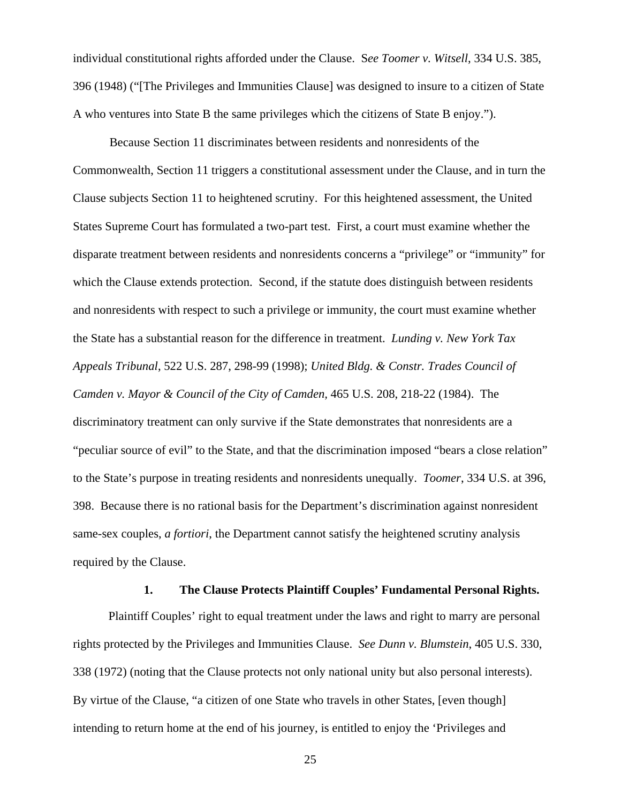individual constitutional rights afforded under the Clause. S*ee Toomer v. Witsell*, 334 U.S. 385, 396 (1948) ("[The Privileges and Immunities Clause] was designed to insure to a citizen of State A who ventures into State B the same privileges which the citizens of State B enjoy.").

Because Section 11 discriminates between residents and nonresidents of the Commonwealth, Section 11 triggers a constitutional assessment under the Clause, and in turn the Clause subjects Section 11 to heightened scrutiny. For this heightened assessment, the United States Supreme Court has formulated a two-part test. First, a court must examine whether the disparate treatment between residents and nonresidents concerns a "privilege" or "immunity" for which the Clause extends protection. Second, if the statute does distinguish between residents and nonresidents with respect to such a privilege or immunity, the court must examine whether the State has a substantial reason for the difference in treatment. *Lunding v. New York Tax Appeals Tribunal*, 522 U.S. 287, 298-99 (1998); *United Bldg. & Constr. Trades Council of Camden v. Mayor & Council of the City of Camden,* 465 U.S. 208, 218-22 (1984). The discriminatory treatment can only survive if the State demonstrates that nonresidents are a "peculiar source of evil" to the State, and that the discrimination imposed "bears a close relation" to the State's purpose in treating residents and nonresidents unequally. *Toomer*, 334 U.S. at 396, 398. Because there is no rational basis for the Department's discrimination against nonresident same-sex couples, *a fortiori*, the Department cannot satisfy the heightened scrutiny analysis required by the Clause.

#### **1. The Clause Protects Plaintiff Couples' Fundamental Personal Rights.**

Plaintiff Couples' right to equal treatment under the laws and right to marry are personal rights protected by the Privileges and Immunities Clause. *See Dunn v. Blumstein*, 405 U.S. 330, 338 (1972) (noting that the Clause protects not only national unity but also personal interests). By virtue of the Clause, "a citizen of one State who travels in other States, [even though] intending to return home at the end of his journey, is entitled to enjoy the 'Privileges and

25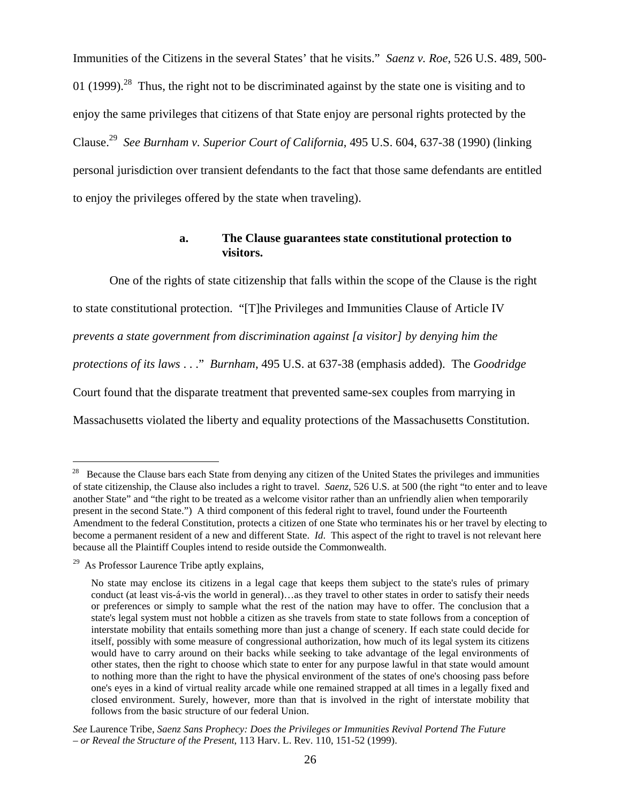Immunities of the Citizens in the several States' that he visits." *Saenz v. Roe*, 526 U.S. 489, 500- 01 (1999).<sup>28</sup> Thus, the right not to be discriminated against by the state one is visiting and to enjoy the same privileges that citizens of that State enjoy are personal rights protected by the Clause.[29](#page-25-1) *See Burnham v. Superior Court of California*, 495 U.S. 604, 637-38 (1990) (linking personal jurisdiction over transient defendants to the fact that those same defendants are entitled to enjoy the privileges offered by the state when traveling).

## **a. The Clause guarantees state constitutional protection to visitors.**

One of the rights of state citizenship that falls within the scope of the Clause is the right to state constitutional protection. "[T]he Privileges and Immunities Clause of Article IV *prevents a state government from discrimination against [a visitor] by denying him the protections of its laws* . . ." *Burnham*, 495 U.S. at 637-38 (emphasis added). The *Goodridge*  Court found that the disparate treatment that prevented same-sex couples from marrying in Massachusetts violated the liberty and equality protections of the Massachusetts Constitution.

<span id="page-25-0"></span><sup>&</sup>lt;sup>28</sup> Because the Clause bars each State from denying any citizen of the United States the privileges and immunities of state citizenship, the Clause also includes a right to travel. *Saenz*, 526 U.S. at 500 (the right "to enter and to leave another State" and "the right to be treated as a welcome visitor rather than an unfriendly alien when temporarily present in the second State.") A third component of this federal right to travel, found under the Fourteenth Amendment to the federal Constitution, protects a citizen of one State who terminates his or her travel by electing to become a permanent resident of a new and different State. *Id*. This aspect of the right to travel is not relevant here because all the Plaintiff Couples intend to reside outside the Commonwealth.

<span id="page-25-1"></span> $29$  As Professor Laurence Tribe aptly explains,

No state may enclose its citizens in a legal cage that keeps them subject to the state's rules of primary conduct (at least vis-á-vis the world in general)…as they travel to other states in order to satisfy their needs or preferences or simply to sample what the rest of the nation may have to offer. The conclusion that a state's legal system must not hobble a citizen as she travels from state to state follows from a conception of interstate mobility that entails something more than just a change of scenery. If each state could decide for itself, possibly with some measure of congressional authorization, how much of its legal system its citizens would have to carry around on their backs while seeking to take advantage of the legal environments of other states, then the right to choose which state to enter for any purpose lawful in that state would amount to nothing more than the right to have the physical environment of the states of one's choosing pass before one's eyes in a kind of virtual reality arcade while one remained strapped at all times in a legally fixed and closed environment. Surely, however, more than that is involved in the right of interstate mobility that follows from the basic structure of our federal Union.

*See* Laurence Tribe, *Saenz Sans Prophecy: Does the Privileges or Immunities Revival Portend The Future – or Reveal the Structure of the Present*, 113 Harv. L. Rev. 110, 151-52 (1999).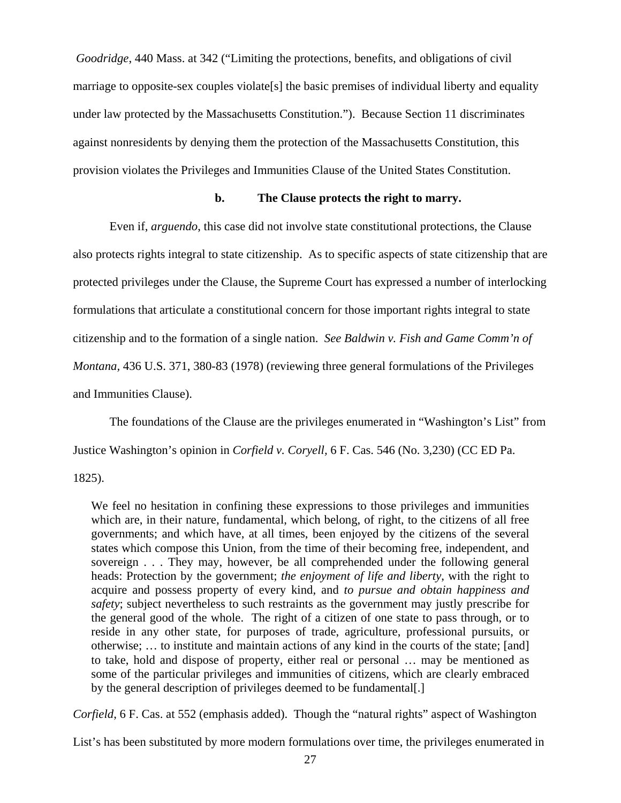*Goodridge*, 440 Mass. at 342 ("Limiting the protections, benefits, and obligations of civil marriage to opposite-sex couples violate[s] the basic premises of individual liberty and equality under law protected by the Massachusetts Constitution."). Because Section 11 discriminates against nonresidents by denying them the protection of the Massachusetts Constitution, this provision violates the Privileges and Immunities Clause of the United States Constitution.

#### **b. The Clause protects the right to marry.**

Even if, *arguendo*, this case did not involve state constitutional protections, the Clause also protects rights integral to state citizenship. As to specific aspects of state citizenship that are protected privileges under the Clause, the Supreme Court has expressed a number of interlocking formulations that articulate a constitutional concern for those important rights integral to state citizenship and to the formation of a single nation. *See Baldwin v. Fish and Game Comm'n of Montana,* 436 U.S. 371, 380-83 (1978) (reviewing three general formulations of the Privileges and Immunities Clause).

The foundations of the Clause are the privileges enumerated in "Washington's List" from Justice Washington's opinion in *Corfield v. Coryell,* 6 F. Cas. 546 (No. 3,230) (CC ED Pa.

1825).

We feel no hesitation in confining these expressions to those privileges and immunities which are, in their nature, fundamental, which belong, of right, to the citizens of all free governments; and which have, at all times, been enjoyed by the citizens of the several states which compose this Union, from the time of their becoming free, independent, and sovereign . . . They may, however, be all comprehended under the following general heads: Protection by the government; *the enjoyment of life and liberty*, with the right to acquire and possess property of every kind, and *to pursue and obtain happiness and safety*; subject nevertheless to such restraints as the government may justly prescribe for the general good of the whole. The right of a citizen of one state to pass through, or to reside in any other state, for purposes of trade, agriculture, professional pursuits, or otherwise; … to institute and maintain actions of any kind in the courts of the state; [and] to take, hold and dispose of property, either real or personal … may be mentioned as some of the particular privileges and immunities of citizens, which are clearly embraced by the general description of privileges deemed to be fundamental[.]

*Corfield*, 6 F. Cas. at 552 (emphasis added). Though the "natural rights" aspect of Washington

List's has been substituted by more modern formulations over time, the privileges enumerated in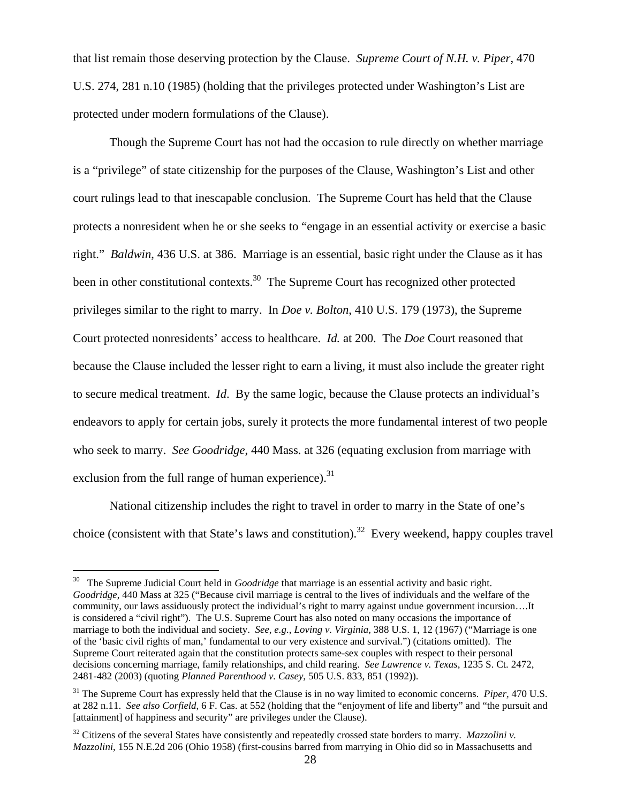<span id="page-27-2"></span>that list remain those deserving protection by the Clause. *Supreme Court of N.H. v. Piper*, 470 U.S. 274, 281 n.10 (1985) (holding that the privileges protected under Washington's List are protected under modern formulations of the Clause).

 Though the Supreme Court has not had the occasion to rule directly on whether marriage is a "privilege" of state citizenship for the purposes of the Clause, Washington's List and other court rulings lead to that inescapable conclusion. The Supreme Court has held that the Clause protects a nonresident when he or she seeks to "engage in an essential activity or exercise a basic right." *Baldwin*, 436 U.S. at 386. Marriage is an essential, basic right under the Clause as it has been in other constitutional contexts.<sup>30</sup> The Supreme Court has recognized other protected privileges similar to the right to marry. In *Doe v. Bolton*, 410 U.S. 179 (1973), the Supreme Court protected nonresidents' access to healthcare. *Id.* at 200. The *Doe* Court reasoned that because the Clause included the lesser right to earn a living, it must also include the greater right to secure medical treatment. *Id*. By the same logic, because the Clause protects an individual's endeavors to apply for certain jobs, surely it protects the more fundamental interest of two people who seek to marry. *See Goodridge*, 440 Mass. at 326 (equating exclusion from marriage with exclusion from the full range of human experience). $31$ 

National citizenship includes the right to travel in order to marry in the State of one's choice (consistent with that State's laws and constitution).<sup>32</sup> Every weekend, happy couples travel

<span id="page-27-0"></span><sup>30</sup> The Supreme Judicial Court held in *Goodridge* that marriage is an essential activity and basic right. *Goodridge*, 440 Mass at 325 ("Because civil marriage is central to the lives of individuals and the welfare of the community, our laws assiduously protect the individual's right to marry against undue government incursion….It is considered a "civil right"). The U.S. Supreme Court has also noted on many occasions the importance of marriage to both the individual and society. *See*, *e.g.*, *Loving v. Virginia*, 388 U.S. 1, 12 (1967) ("Marriage is one of the 'basic civil rights of man,' fundamental to our very existence and survival.") (citations omitted). The Supreme Court reiterated again that the constitution protects same-sex couples with respect to their personal decisions concerning marriage, family relationships, and child rearing. *See Lawrence v. Texas*, 1235 S. Ct. 2472, 2481-482 (2003) (quoting *Planned Parenthood v. Casey*, 505 U.S. 833, 851 (1992)).

<span id="page-27-1"></span><sup>31</sup> The Supreme Court has expressly held that the Clause is in no way limited to economic concerns. *Piper,* 470 U.S. at 282 n.11. *See also Corfield*, 6 F. Cas. at 552 (holding that the "enjoyment of life and liberty" and "the pursuit and [attainment] of happiness and security" are privileges under the Clause).

<sup>&</sup>lt;sup>32</sup> Citizens of the several States have consistently and repeatedly crossed state borders to marry. *Mazzolini v*. *Mazzolini*, 155 N.E.2d 206 (Ohio 1958) (first-cousins barred from marrying in Ohio did so in Massachusetts and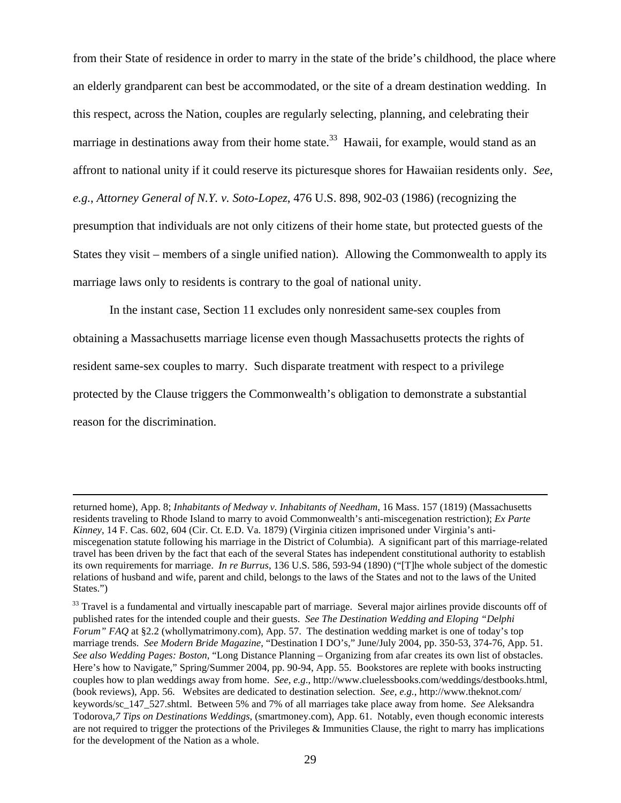from their State of residence in order to marry in the state of the bride's childhood, the place where an elderly grandparent can best be accommodated, or the site of a dream destination wedding. In this respect, across the Nation, couples are regularly selecting, planning, and celebrating their marriage in destinations away from their home state.<sup>33</sup> Hawaii, for example, would stand as an affront to national unity if it could reserve its picturesque shores for Hawaiian residents only. *See*, *e.g.*, *Attorney General of N.Y. v. Soto-Lopez*, 476 U.S. 898, 902-03 (1986) (recognizing the presumption that individuals are not only citizens of their home state, but protected guests of the States they visit – members of a single unified nation). Allowing the Commonwealth to apply its marriage laws only to residents is contrary to the goal of national unity.

 In the instant case, Section 11 excludes only nonresident same-sex couples from obtaining a Massachusetts marriage license even though Massachusetts protects the rights of resident same-sex couples to marry. Such disparate treatment with respect to a privilege protected by the Clause triggers the Commonwealth's obligation to demonstrate a substantial reason for the discrimination.

returned home), App. 8; *Inhabitants of Medway v. Inhabitants of Needham*, 16 Mass. 157 (1819) (Massachusetts residents traveling to Rhode Island to marry to avoid Commonwealth's anti-miscegenation restriction); *Ex Parte Kinney*, 14 F. Cas. 602, 604 (Cir. Ct. E.D. Va. 1879) (Virginia citizen imprisoned under Virginia's antimiscegenation statute following his marriage in the District of Columbia). A significant part of this marriage-related travel has been driven by the fact that each of the several States has independent constitutional authority to establish its own requirements for marriage. *In re Burrus*, 136 U.S. 586, 593-94 (1890) ("[T]he whole subject of the domestic relations of husband and wife, parent and child, belongs to the laws of the States and not to the laws of the United States.")

<span id="page-28-0"></span><sup>&</sup>lt;sup>33</sup> Travel is a fundamental and virtually inescapable part of marriage. Several major airlines provide discounts off of published rates for the intended couple and their guests. *See The Destination Wedding and Eloping "Delphi Forum" FAQ* at §2.2 ([whollymatrimony.com\)](http://www.whollymatrimony.com/), App. 57. The destination wedding market is one of today's top marriage trends. *See Modern Bride Magazine*, "Destination I DO's," June/July 2004, pp. 350-53, 374-76, App. 51. *See also Wedding Pages: Boston*, "Long Distance Planning – Organizing from afar creates its own list of obstacles. Here's how to Navigate," Spring/Summer 2004, pp. 90-94, App. 55. Bookstores are replete with books instructing couples how to plan weddings away from home. *See*, *e.g*., [http://www.cluelessbooks.com/weddings/destbooks.html](http://www.cluelessbooks.com/ Weddings/destbooks.html)*,* (book reviews), App. 56.Websites are dedicated to destination selection. *See*, *e.g.*, <http://www.theknot.com/> keywords/sc\_147\_527.shtml. Between 5% and 7% of all marriages take place away from home. *See* Aleksandra Todorova*,7 Tips on Destinations Weddings*, (smartmoney.com), App. 61. Notably, even though economic interests are not required to trigger the protections of the Privileges & Immunities Clause, the right to marry has implications for the development of the Nation as a whole.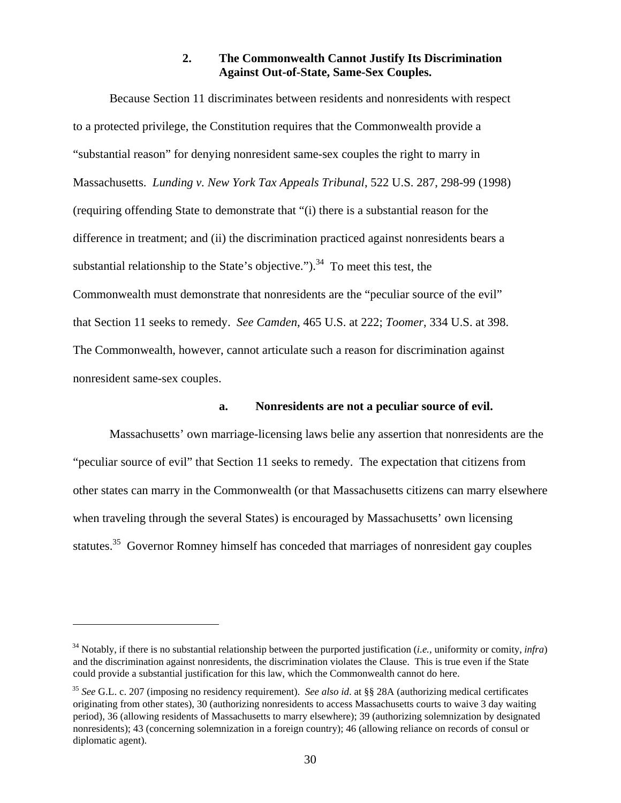## **2. The Commonwealth Cannot Justify Its Discrimination Against Out-of-State, Same-Sex Couples.**

Because Section 11 discriminates between residents and nonresidents with respect to a protected privilege, the Constitution requires that the Commonwealth provide a "substantial reason" for denying nonresident same-sex couples the right to marry in Massachusetts. *Lunding v. New York Tax Appeals Tribunal*, 522 U.S. 287, 298-99 (1998) (requiring offending State to demonstrate that "(i) there is a substantial reason for the difference in treatment; and (ii) the discrimination practiced against nonresidents bears a substantial relationship to the State's objective.").<sup>34</sup> To meet this test, the Commonwealth must demonstrate that nonresidents are the "peculiar source of the evil" that Section 11 seeks to remedy. *See Camden*, 465 U.S. at 222; *Toomer*, 334 U.S. at 398. The Commonwealth, however, cannot articulate such a reason for discrimination against nonresident same-sex couples.

#### **a. Nonresidents are not a peculiar source of evil.**

 Massachusetts' own marriage-licensing laws belie any assertion that nonresidents are the "peculiar source of evil" that Section 11 seeks to remedy. The expectation that citizens from other states can marry in the Commonwealth (or that Massachusetts citizens can marry elsewhere when traveling through the several States) is encouraged by Massachusetts' own licensing statutes.<sup>35</sup> Governor Romney himself has conceded that marriages of nonresident gay couples

<span id="page-29-0"></span><sup>34</sup> Notably, if there is no substantial relationship between the purported justification (*i.e.,* uniformity or comity, *infra*) and the discrimination against nonresidents, the discrimination violates the Clause. This is true even if the State could provide a substantial justification for this law, which the Commonwealth cannot do here.

<span id="page-29-1"></span><sup>35</sup> *See* G.L. c. 207 (imposing no residency requirement). *See also id*. at §§ 28A (authorizing medical certificates originating from other states), 30 (authorizing nonresidents to access Massachusetts courts to waive 3 day waiting period), 36 (allowing residents of Massachusetts to marry elsewhere); 39 (authorizing solemnization by designated nonresidents); 43 (concerning solemnization in a foreign country); 46 (allowing reliance on records of consul or diplomatic agent).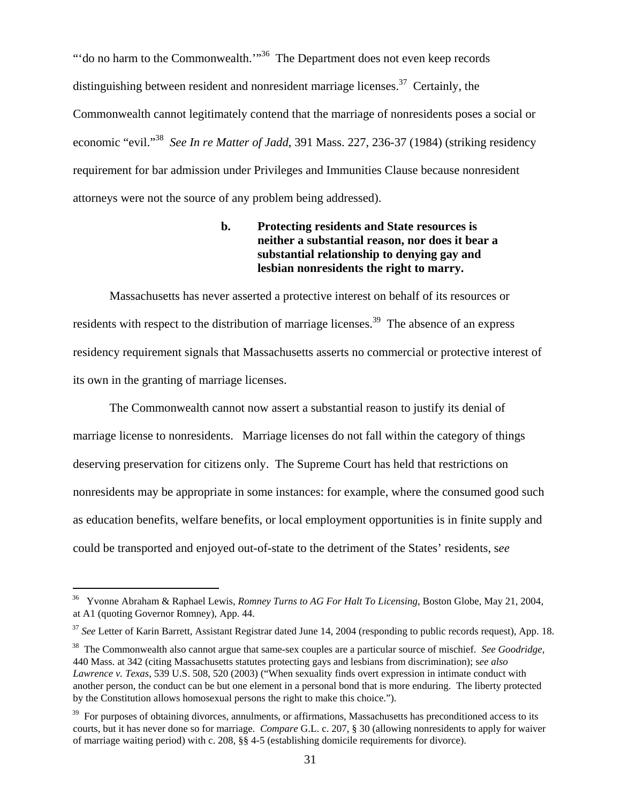"'do no harm to the Commonwealth."<sup>36</sup> The Department does not even keep records distinguishing between resident and nonresident marriage licenses.<sup>37</sup> Certainly, the Commonwealth cannot legitimately contend that the marriage of nonresidents poses a social or economic "evil."[38](#page-30-2) *See In re Matter of Jadd*, 391 Mass. 227, 236-37 (1984) (striking residency requirement for bar admission under Privileges and Immunities Clause because nonresident attorneys were not the source of any problem being addressed).

> **b. Protecting residents and State resources is neither a substantial reason, nor does it bear a substantial relationship to denying gay and lesbian nonresidents the right to marry.**

 Massachusetts has never asserted a protective interest on behalf of its resources or residents with respect to the distribution of marriage licenses.<sup>39</sup> The absence of an express residency requirement signals that Massachusetts asserts no commercial or protective interest of its own in the granting of marriage licenses.

 The Commonwealth cannot now assert a substantial reason to justify its denial of marriage license to nonresidents. Marriage licenses do not fall within the category of things deserving preservation for citizens only. The Supreme Court has held that restrictions on nonresidents may be appropriate in some instances: for example, where the consumed good such as education benefits, welfare benefits, or local employment opportunities is in finite supply and could be transported and enjoyed out-of-state to the detriment of the States' residents, s*ee* 

l

<span id="page-30-0"></span><sup>36</sup> Yvonne Abraham & Raphael Lewis, *Romney Turns to AG For Halt To Licensing*, Boston Globe, May 21, 2004, at A1 (quoting Governor Romney), App. 44.

<span id="page-30-1"></span><sup>37</sup> *See* Letter of Karin Barrett, Assistant Registrar dated June 14, 2004 (responding to public records request), App. 18.

<span id="page-30-2"></span><sup>38</sup> The Commonwealth also cannot argue that same-sex couples are a particular source of mischief. *See Goodridge,* 440 Mass. at 342 (citing Massachusetts statutes protecting gays and lesbians from discrimination); s*ee also Lawrence v. Texas*, 539 U.S. 508, 520 (2003) ("When sexuality finds overt expression in intimate conduct with another person, the conduct can be but one element in a personal bond that is more enduring. The liberty protected by the Constitution allows homosexual persons the right to make this choice.").

<span id="page-30-3"></span> $39$  For purposes of obtaining divorces, annulments, or affirmations, Massachusetts has preconditioned access to its courts, but it has never done so for marriage. *Compare* G.L. c. 207, § 30 (allowing nonresidents to apply for waiver of marriage waiting period) with c. 208, §§ 4-5 (establishing domicile requirements for divorce).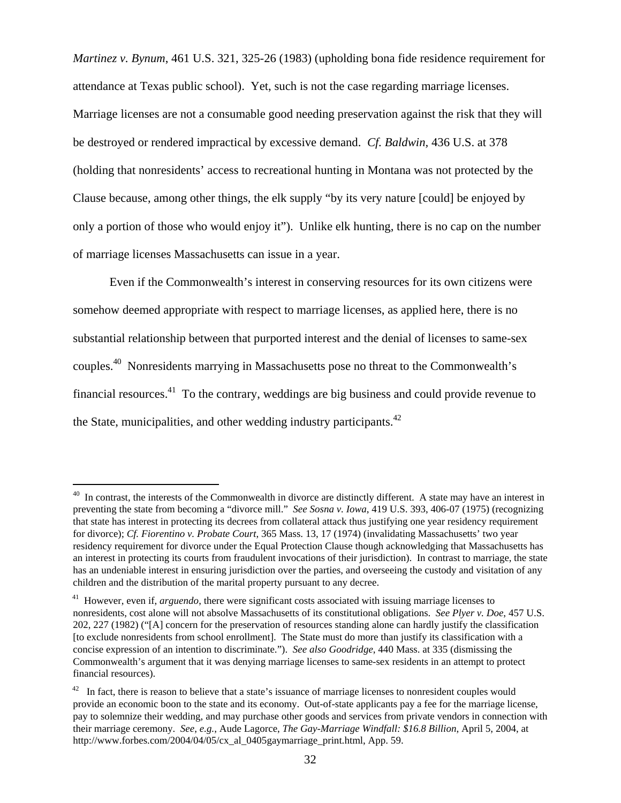*Martinez v. Bynum*, 461 U.S. 321, 325-26 (1983) (upholding bona fide residence requirement for attendance at Texas public school). Yet, such is not the case regarding marriage licenses. Marriage licenses are not a consumable good needing preservation against the risk that they will be destroyed or rendered impractical by excessive demand. *Cf. Baldwin,* 436 U.S. at 378 (holding that nonresidents' access to recreational hunting in Montana was not protected by the Clause because, among other things, the elk supply "by its very nature [could] be enjoyed by only a portion of those who would enjoy it"). Unlike elk hunting, there is no cap on the number of marriage licenses Massachusetts can issue in a year.

 Even if the Commonwealth's interest in conserving resources for its own citizens were somehow deemed appropriate with respect to marriage licenses, as applied here, there is no substantial relationship between that purported interest and the denial of licenses to same-sex couples.[40](#page-31-0) Nonresidents marrying in Massachusetts pose no threat to the Commonwealth's financial resources. $41$  To the contrary, weddings are big business and could provide revenue to the State, municipalities, and other wedding industry participants. $42$ 

<span id="page-31-0"></span> $40$  In contrast, the interests of the Commonwealth in divorce are distinctly different. A state may have an interest in preventing the state from becoming a "divorce mill." *See Sosna v. Iowa*, 419 U.S. 393, 406-07 (1975) (recognizing that state has interest in protecting its decrees from collateral attack thus justifying one year residency requirement for divorce); *Cf. Fiorentino v. Probate Court*, 365 Mass. 13, 17 (1974) (invalidating Massachusetts' two year residency requirement for divorce under the Equal Protection Clause though acknowledging that Massachusetts has an interest in protecting its courts from fraudulent invocations of their jurisdiction). In contrast to marriage, the state has an undeniable interest in ensuring jurisdiction over the parties, and overseeing the custody and visitation of any children and the distribution of the marital property pursuant to any decree.

<span id="page-31-1"></span><sup>&</sup>lt;sup>41</sup> However, even if, *arguendo*, there were significant costs associated with issuing marriage licenses to nonresidents, cost alone will not absolve Massachusetts of its constitutional obligations. *See Plyer v. Doe*, 457 U.S. 202, 227 (1982) ("[A] concern for the preservation of resources standing alone can hardly justify the classification [to exclude nonresidents from school enrollment]. The State must do more than justify its classification with a concise expression of an intention to discriminate."). *See also Goodridge*, 440 Mass. at 335 (dismissing the Commonwealth's argument that it was denying marriage licenses to same-sex residents in an attempt to protect financial resources).

<span id="page-31-2"></span> $42$  In fact, there is reason to believe that a state's issuance of marriage licenses to nonresident couples would provide an economic boon to the state and its economy. Out-of-state applicants pay a fee for the marriage license, pay to solemnize their wedding, and may purchase other goods and services from private vendors in connection with their marriage ceremony. *See*, *e.g.*, Aude Lagorce, *The Gay-Marriage Windfall: \$16.8 Billion*, April 5, 2004, at [http://www.forbes.com/2004/04/05/cx\\_al\\_0405gaymarriage\\_print.html](http://www.forbes.com/2004/04/05/cx_al_0405gaymarriage_print.html), App. 59.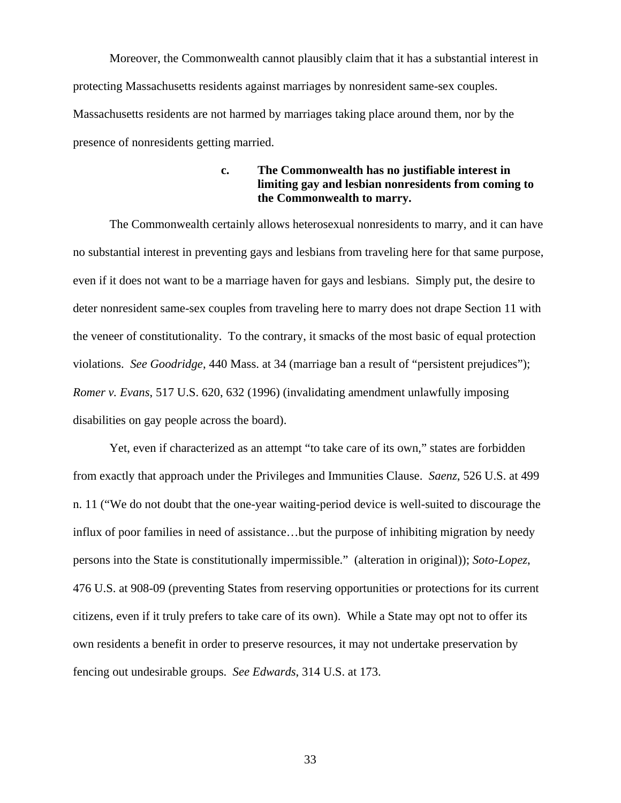Moreover, the Commonwealth cannot plausibly claim that it has a substantial interest in protecting Massachusetts residents against marriages by nonresident same-sex couples. Massachusetts residents are not harmed by marriages taking place around them, nor by the presence of nonresidents getting married.

# **c. The Commonwealth has no justifiable interest in limiting gay and lesbian nonresidents from coming to the Commonwealth to marry.**

 The Commonwealth certainly allows heterosexual nonresidents to marry, and it can have no substantial interest in preventing gays and lesbians from traveling here for that same purpose, even if it does not want to be a marriage haven for gays and lesbians. Simply put, the desire to deter nonresident same-sex couples from traveling here to marry does not drape Section 11 with the veneer of constitutionality. To the contrary, it smacks of the most basic of equal protection violations. *See Goodridge*, 440 Mass. at 34 (marriage ban a result of "persistent prejudices"); *Romer v. Evans*, 517 U.S. 620, 632 (1996) (invalidating amendment unlawfully imposing disabilities on gay people across the board).

Yet, even if characterized as an attempt "to take care of its own," states are forbidden from exactly that approach under the Privileges and Immunities Clause. *Saenz*, 526 U.S. at 499 n. 11 ("We do not doubt that the one-year waiting-period device is well-suited to discourage the influx of poor families in need of assistance…but the purpose of inhibiting migration by needy persons into the State is constitutionally impermissible." (alteration in original)); *Soto-Lopez*, 476 U.S. at 908-09 (preventing States from reserving opportunities or protections for its current citizens, even if it truly prefers to take care of its own). While a State may opt not to offer its own residents a benefit in order to preserve resources, it may not undertake preservation by fencing out undesirable groups. *See Edwards*, 314 U.S. at 173.

33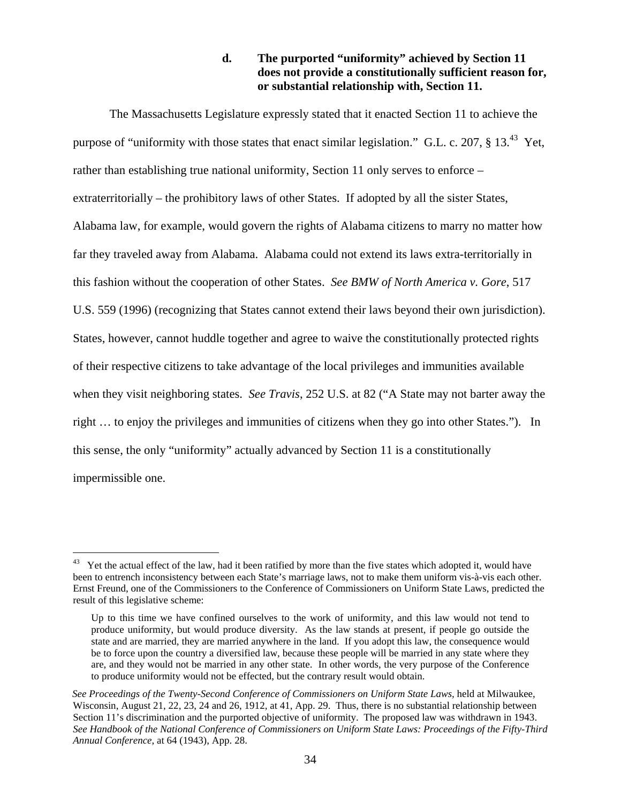# **d. The purported "uniformity" achieved by Section 11 does not provide a constitutionally sufficient reason for, or substantial relationship with, Section 11.**

 The Massachusetts Legislature expressly stated that it enacted Section 11 to achieve the purpose of "uniformity with those states that enact similar legislation." G.L. c. 207,  $\S$  13.<sup>43</sup> Yet, rather than establishing true national uniformity, Section 11 only serves to enforce – extraterritorially – the prohibitory laws of other States. If adopted by all the sister States, Alabama law, for example, would govern the rights of Alabama citizens to marry no matter how far they traveled away from Alabama. Alabama could not extend its laws extra-territorially in this fashion without the cooperation of other States. *See BMW of North America v. Gore*, 517 U.S. 559 (1996) (recognizing that States cannot extend their laws beyond their own jurisdiction). States, however, cannot huddle together and agree to waive the constitutionally protected rights of their respective citizens to take advantage of the local privileges and immunities available when they visit neighboring states. *See Travis*, 252 U.S. at 82 ("A State may not barter away the right … to enjoy the privileges and immunities of citizens when they go into other States."). In this sense, the only "uniformity" actually advanced by Section 11 is a constitutionally impermissible one.

<span id="page-33-0"></span>Yet the actual effect of the law, had it been ratified by more than the five states which adopted it, would have been to entrench inconsistency between each State's marriage laws, not to make them uniform vis-à-vis each other. Ernst Freund, one of the Commissioners to the Conference of Commissioners on Uniform State Laws, predicted the result of this legislative scheme:

Up to this time we have confined ourselves to the work of uniformity, and this law would not tend to produce uniformity, but would produce diversity. As the law stands at present, if people go outside the state and are married, they are married anywhere in the land. If you adopt this law, the consequence would be to force upon the country a diversified law, because these people will be married in any state where they are, and they would not be married in any other state. In other words, the very purpose of the Conference to produce uniformity would not be effected, but the contrary result would obtain.

See Proceedings of the Twenty-Second Conference of Commissioners on Uniform State Laws, held at Milwaukee, Wisconsin, August 21, 22, 23, 24 and 26, 1912, at 41, App. 29. Thus, there is no substantial relationship between Section 11's discrimination and the purported objective of uniformity. The proposed law was withdrawn in 1943. *See Handbook of the National Conference of Commissioners on Uniform State Laws: Proceedings of the Fifty-Third Annual Conference*, at 64 (1943), App. 28.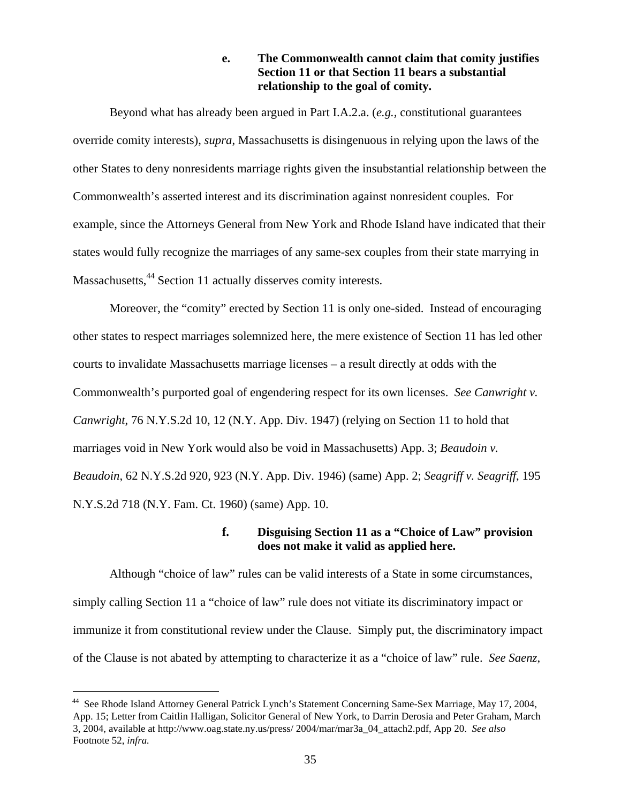# **e. The Commonwealth cannot claim that comity justifies Section 11 or that Section 11 bears a substantial relationship to the goal of comity.**

 Beyond what has already been argued in Part I.A.2.a. (*e.g.,* constitutional guarantees override comity interests), *supra*, Massachusetts is disingenuous in relying upon the laws of the other States to deny nonresidents marriage rights given the insubstantial relationship between the Commonwealth's asserted interest and its discrimination against nonresident couples. For example, since the Attorneys General from New York and Rhode Island have indicated that their states would fully recognize the marriages of any same-sex couples from their state marrying in Massachusetts,<sup>44</sup> Section 11 actually disserves comity interests.

 Moreover, the "comity" erected by Section 11 is only one-sided. Instead of encouraging other states to respect marriages solemnized here, the mere existence of Section 11 has led other courts to invalidate Massachusetts marriage licenses – a result directly at odds with the Commonwealth's purported goal of engendering respect for its own licenses. *See Canwright v. Canwright*, 76 N.Y.S.2d 10, 12 (N.Y. App. Div. 1947) (relying on Section 11 to hold that marriages void in New York would also be void in Massachusetts) App. 3; *Beaudoin v. Beaudoin*, 62 N.Y.S.2d 920, 923 (N.Y. App. Div. 1946) (same) App. 2; *Seagriff v. Seagriff*, 195 N.Y.S.2d 718 (N.Y. Fam. Ct. 1960) (same) App. 10.

# **f. Disguising Section 11 as a "Choice of Law" provision does not make it valid as applied here.**

Although "choice of law" rules can be valid interests of a State in some circumstances, simply calling Section 11 a "choice of law" rule does not vitiate its discriminatory impact or immunize it from constitutional review under the Clause. Simply put, the discriminatory impact of the Clause is not abated by attempting to characterize it as a "choice of law" rule. *See Saenz*,

<span id="page-34-0"></span><sup>44</sup> See Rhode Island Attorney General Patrick Lynch's Statement Concerning Same-Sex Marriage, May 17, 2004, App. 15; Letter from Caitlin Halligan, Solicitor General of New York, to Darrin Derosia and Peter Graham, March 3, 2004, available at [http://www.oag.state.ny.us/press/ 2004/mar/mar3a\\_04\\_attach2.pdf](http://www.oag.state.ny.us/press/ 2004/mar/mar3a_04_attach2.pdf), App 20. *See also*  Footnote 52, *infra.*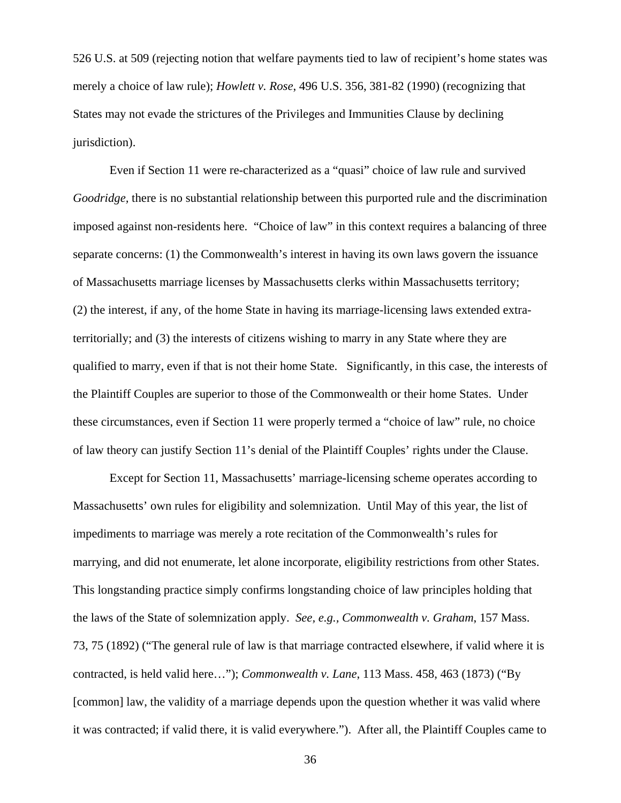526 U.S. at 509 (rejecting notion that welfare payments tied to law of recipient's home states was merely a choice of law rule); *Howlett v. Rose*, 496 U.S. 356, 381-82 (1990) (recognizing that States may not evade the strictures of the Privileges and Immunities Clause by declining jurisdiction).

 Even if Section 11 were re-characterized as a "quasi" choice of law rule and survived *Goodridge,* there is no substantial relationship between this purported rule and the discrimination imposed against non-residents here. "Choice of law" in this context requires a balancing of three separate concerns: (1) the Commonwealth's interest in having its own laws govern the issuance of Massachusetts marriage licenses by Massachusetts clerks within Massachusetts territory; (2) the interest, if any, of the home State in having its marriage-licensing laws extended extraterritorially; and (3) the interests of citizens wishing to marry in any State where they are qualified to marry, even if that is not their home State. Significantly, in this case, the interests of the Plaintiff Couples are superior to those of the Commonwealth or their home States. Under these circumstances, even if Section 11 were properly termed a "choice of law" rule, no choice of law theory can justify Section 11's denial of the Plaintiff Couples' rights under the Clause.

 Except for Section 11, Massachusetts' marriage-licensing scheme operates according to Massachusetts' own rules for eligibility and solemnization. Until May of this year, the list of impediments to marriage was merely a rote recitation of the Commonwealth's rules for marrying, and did not enumerate, let alone incorporate, eligibility restrictions from other States. This longstanding practice simply confirms longstanding choice of law principles holding that the laws of the State of solemnization apply. *See, e.g., Commonwealth v. Graham*, 157 Mass. 73, 75 (1892) ("The general rule of law is that marriage contracted elsewhere, if valid where it is contracted, is held valid here…"); *Commonwealth v. Lane*, 113 Mass. 458, 463 (1873) ("By [common] law, the validity of a marriage depends upon the question whether it was valid where it was contracted; if valid there, it is valid everywhere."). After all, the Plaintiff Couples came to

36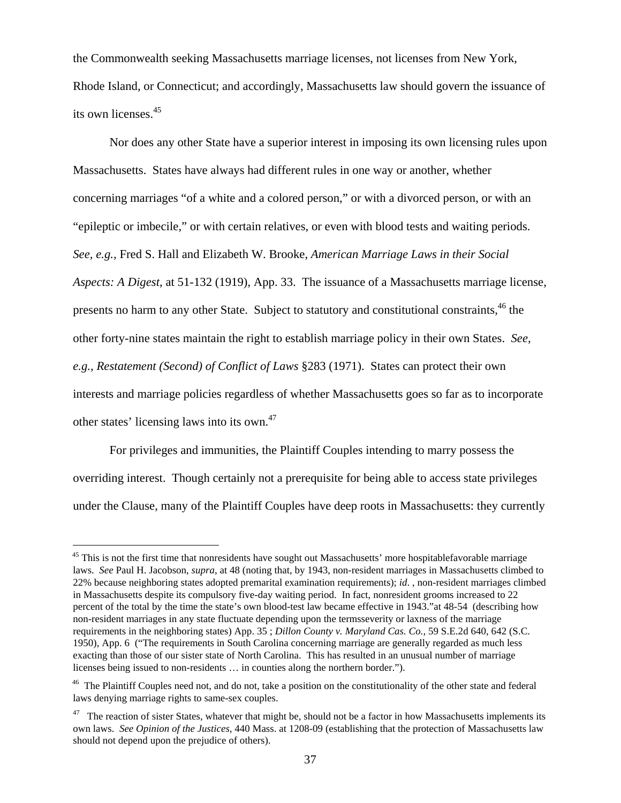the Commonwealth seeking Massachusetts marriage licenses, not licenses from New York, Rhode Island, or Connecticut; and accordingly, Massachusetts law should govern the issuance of its own licenses.[45](#page-36-0) 

 Nor does any other State have a superior interest in imposing its own licensing rules upon Massachusetts. States have always had different rules in one way or another, whether concerning marriages "of a white and a colored person," or with a divorced person, or with an "epileptic or imbecile," or with certain relatives, or even with blood tests and waiting periods. *See, e.g.,* Fred S. Hall and Elizabeth W. Brooke, *American Marriage Laws in their Social Aspects: A Digest*, at 51-132 (1919), App. 33. The issuance of a Massachusetts marriage license, presents no harm to any other State. Subject to statutory and constitutional constraints,<sup>46</sup> the other forty-nine states maintain the right to establish marriage policy in their own States. *See, e.g., Restatement (Second) of Conflict of Laws* §283 (1971). States can protect their own interests and marriage policies regardless of whether Massachusetts goes so far as to incorporate other states' licensing laws into its own.[47](#page-36-2) 

 For privileges and immunities, the Plaintiff Couples intending to marry possess the overriding interest. Though certainly not a prerequisite for being able to access state privileges under the Clause, many of the Plaintiff Couples have deep roots in Massachusetts: they currently

<span id="page-36-0"></span><sup>&</sup>lt;sup>45</sup> This is not the first time that nonresidents have sought out Massachusetts' more hospitablefavorable marriage laws. *See* Paul H. Jacobson, *supra*, at 48 (noting that, by 1943, non-resident marriages in Massachusetts climbed to 22% because neighboring states adopted premarital examination requirements); *id*. , non-resident marriages climbed in Massachusetts despite its compulsory five-day waiting period. In fact, nonresident grooms increased to 22 percent of the total by the time the state's own blood-test law became effective in 1943."at 48-54 (describing how non-resident marriages in any state fluctuate depending upon the termsseverity or laxness of the marriage requirements in the neighboring states) App. 35 ; *Dillon County v. Maryland Cas. Co.,* 59 S.E.2d 640, 642 (S.C. 1950), App. 6 ("The requirements in South Carolina concerning marriage are generally regarded as much less exacting than those of our sister state of North Carolina. This has resulted in an unusual number of marriage licenses being issued to non-residents … in counties along the northern border.").

<span id="page-36-1"></span><sup>&</sup>lt;sup>46</sup> The Plaintiff Couples need not, and do not, take a position on the constitutionality of the other state and federal laws denying marriage rights to same-sex couples.

<span id="page-36-2"></span> $47$  The reaction of sister States, whatever that might be, should not be a factor in how Massachusetts implements its own laws. *See Opinion of the Justices*, 440 Mass. at 1208-09 (establishing that the protection of Massachusetts law should not depend upon the prejudice of others).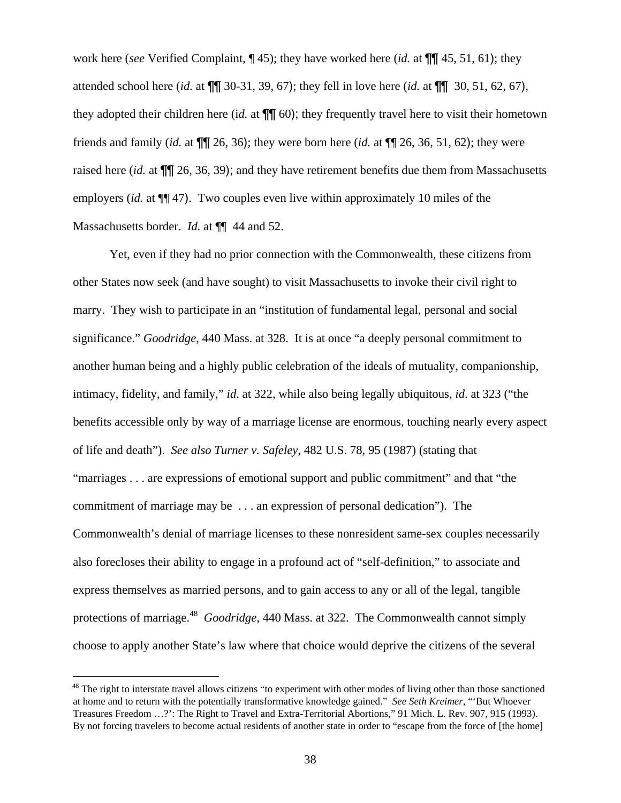<span id="page-37-0"></span>work here (*see* Verified Complaint, ¶ 45); they have worked here (*id.* at ¶¶ 45, 51, 61); they attended school here (*id.* at ¶¶ 30-31, 39, 67); they fell in love here (*id.* at ¶¶ 30, 51, 62, 67), they adopted their children here (i*d.* at ¶¶ 60); they frequently travel here to visit their hometown friends and family (*id.* at ¶¶ 26, 36); they were born here (*id.* at ¶¶ 26, 36, 51, 62); they were raised here (*id.* at ¶¶ 26, 36, 39); and they have retirement benefits due them from Massachusetts employers (*id.* at ¶¶ 47). Two couples even live within approximately 10 miles of the Massachusetts border. *Id.* at  $\P$  44 and 52.

 Yet, even if they had no prior connection with the Commonwealth, these citizens from other States now seek (and have sought) to visit Massachusetts to invoke their civil right to marry. They wish to participate in an "institution of fundamental legal, personal and social significance." *Goodridge*, 440 Mass. at 328. It is at once "a deeply personal commitment to another human being and a highly public celebration of the ideals of mutuality, companionship, intimacy, fidelity, and family," *id*. at 322, while also being legally ubiquitous, *id*. at 323 ("the benefits accessible only by way of a marriage license are enormous, touching nearly every aspect of life and death"). *See also Turner v. Safeley*, 482 U.S. 78, 95 (1987) (stating that "marriages . . . are expressions of emotional support and public commitment" and that "the commitment of marriage may be . . . an expression of personal dedication"). The Commonwealth's denial of marriage licenses to these nonresident same-sex couples necessarily also forecloses their ability to engage in a profound act of "self-definition," to associate and express themselves as married persons, and to gain access to any or all of the legal, tangible protections of marriage.[48](#page-37-0) *Goodridge*, 440 Mass. at 322. The Commonwealth cannot simply choose to apply another State's law where that choice would deprive the citizens of the several

l

 $48$  The right to interstate travel allows citizens "to experiment with other modes of living other than those sanctioned at home and to return with the potentially transformative knowledge gained." *See Seth Kreimer*, "'But Whoever Treasures Freedom …?': The Right to Travel and Extra-Territorial Abortions," 91 Mich. L. Rev. 907, 915 (1993). By not forcing travelers to become actual residents of another state in order to "escape from the force of [the home]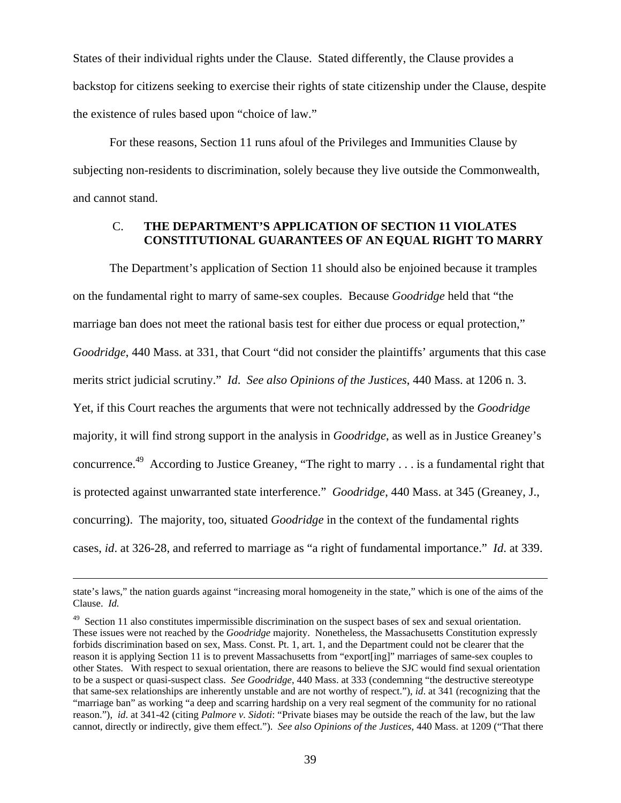<span id="page-38-0"></span>States of their individual rights under the Clause. Stated differently, the Clause provides a backstop for citizens seeking to exercise their rights of state citizenship under the Clause, despite the existence of rules based upon "choice of law."

 For these reasons, Section 11 runs afoul of the Privileges and Immunities Clause by subjecting non-residents to discrimination, solely because they live outside the Commonwealth, and cannot stand.

# C. **THE DEPARTMENT'S APPLICATION OF SECTION 11 VIOLATES CONSTITUTIONAL GUARANTEES OF AN EQUAL RIGHT TO MARRY**

The Department's application of Section 11 should also be enjoined because it tramples on the fundamental right to marry of same-sex couples. Because *Goodridge* held that "the marriage ban does not meet the rational basis test for either due process or equal protection," *Goodridge*, 440 Mass. at 331, that Court "did not consider the plaintiffs' arguments that this case merits strict judicial scrutiny." *Id*. *See also Opinions of the Justices*, 440 Mass. at 1206 n. 3. Yet, if this Court reaches the arguments that were not technically addressed by the *Goodridge* majority, it will find strong support in the analysis in *Goodridge*, as well as in Justice Greaney's concurrence.[49](#page-38-0) According to Justice Greaney, "The right to marry . . . is a fundamental right that is protected against unwarranted state interference." *Goodridge*, 440 Mass. at 345 (Greaney, J., concurring). The majority, too, situated *Goodridge* in the context of the fundamental rights cases, *id*. at 326-28, and referred to marriage as "a right of fundamental importance." *Id*. at 339.

state's laws," the nation guards against "increasing moral homogeneity in the state," which is one of the aims of the Clause. *Id.*

<sup>&</sup>lt;sup>49</sup> Section 11 also constitutes impermissible discrimination on the suspect bases of sex and sexual orientation. These issues were not reached by the *Goodridge* majority. Nonetheless, the Massachusetts Constitution expressly forbids discrimination based on sex, Mass. Const. Pt. 1, art. 1, and the Department could not be clearer that the reason it is applying Section 11 is to prevent Massachusetts from "export[ing]" marriages of same-sex couples to other States. With respect to sexual orientation, there are reasons to believe the SJC would find sexual orientation to be a suspect or quasi-suspect class. *See Goodridge*, 440 Mass. at 333 (condemning "the destructive stereotype that same-sex relationships are inherently unstable and are not worthy of respect."), *id*. at 341 (recognizing that the "marriage ban" as working "a deep and scarring hardship on a very real segment of the community for no rational reason."), *id*. at 341-42 (citing *Palmore v. Sidoti*: "Private biases may be outside the reach of the law, but the law cannot, directly or indirectly, give them effect."). *See also Opinions of the Justices*, 440 Mass. at 1209 ("That there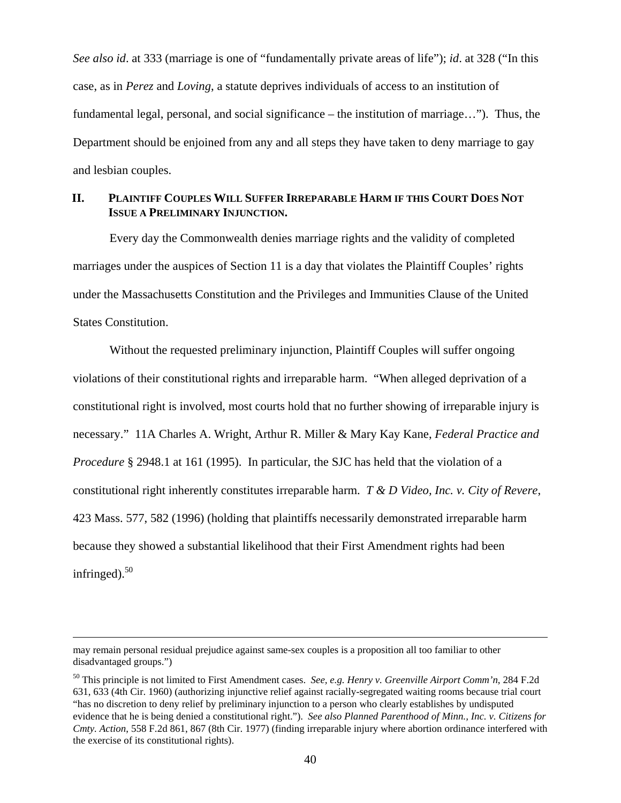*See also id*. at 333 (marriage is one of "fundamentally private areas of life"); *id*. at 328 ("In this case, as in *Perez* and *Loving*, a statute deprives individuals of access to an institution of fundamental legal, personal, and social significance – the institution of marriage…"). Thus, the Department should be enjoined from any and all steps they have taken to deny marriage to gay and lesbian couples.

# **II. PLAINTIFF COUPLES WILL SUFFER IRREPARABLE HARM IF THIS COURT DOES NOT ISSUE A PRELIMINARY INJUNCTION.**

Every day the Commonwealth denies marriage rights and the validity of completed marriages under the auspices of Section 11 is a day that violates the Plaintiff Couples' rights under the Massachusetts Constitution and the Privileges and Immunities Clause of the United States Constitution.

Without the requested preliminary injunction, Plaintiff Couples will suffer ongoing violations of their constitutional rights and irreparable harm. "When alleged deprivation of a constitutional right is involved, most courts hold that no further showing of irreparable injury is necessary." 11A Charles A. Wright, Arthur R. Miller & Mary Kay Kane, *Federal Practice and Procedure* § 2948.1 at 161 (1995). In particular, the SJC has held that the violation of a constitutional right inherently constitutes irreparable harm. *T & D Video, Inc. v. City of Revere*, 423 Mass. 577, 582 (1996) (holding that plaintiffs necessarily demonstrated irreparable harm because they showed a substantial likelihood that their First Amendment rights had been infringed). $50$ 

may remain personal residual prejudice against same-sex couples is a proposition all too familiar to other disadvantaged groups.")

<span id="page-39-0"></span><sup>50</sup> This principle is not limited to First Amendment cases. *See, e.g. Henry v. Greenville Airport Comm'n*, 284 F.2d 631, 633 (4th Cir. 1960) (authorizing injunctive relief against racially-segregated waiting rooms because trial court "has no discretion to deny relief by preliminary injunction to a person who clearly establishes by undisputed evidence that he is being denied a constitutional right."). *See also Planned Parenthood of Minn., Inc. v. Citizens for Cmty. Action*, 558 F.2d 861, 867 (8th Cir. 1977) (finding irreparable injury where abortion ordinance interfered with the exercise of its constitutional rights).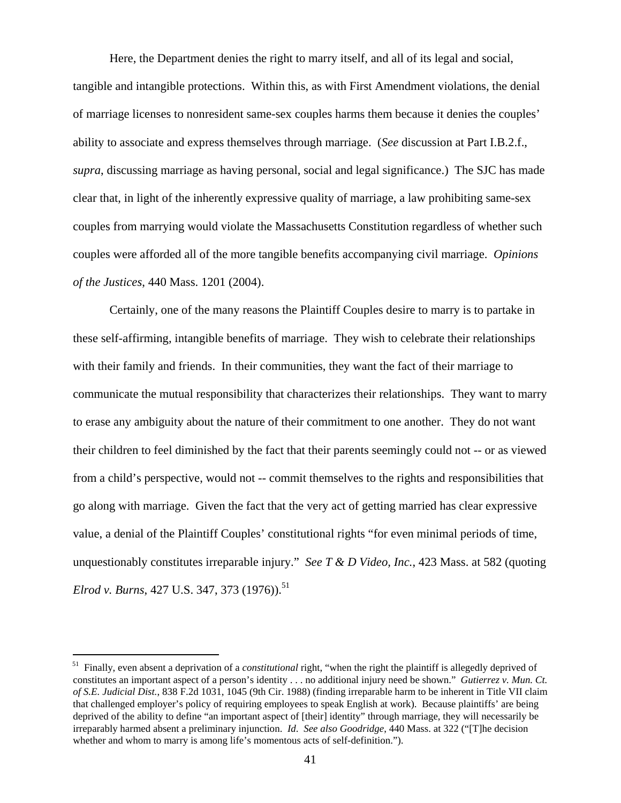Here, the Department denies the right to marry itself, and all of its legal and social, tangible and intangible protections. Within this, as with First Amendment violations, the denial of marriage licenses to nonresident same-sex couples harms them because it denies the couples' ability to associate and express themselves through marriage. (*See* discussion at Part I.B.2.f., *supra*, discussing marriage as having personal, social and legal significance.) The SJC has made clear that, in light of the inherently expressive quality of marriage, a law prohibiting same-sex couples from marrying would violate the Massachusetts Constitution regardless of whether such couples were afforded all of the more tangible benefits accompanying civil marriage. *Opinions of the Justices*, 440 Mass. 1201 (2004).

Certainly, one of the many reasons the Plaintiff Couples desire to marry is to partake in these self-affirming, intangible benefits of marriage. They wish to celebrate their relationships with their family and friends. In their communities, they want the fact of their marriage to communicate the mutual responsibility that characterizes their relationships. They want to marry to erase any ambiguity about the nature of their commitment to one another. They do not want their children to feel diminished by the fact that their parents seemingly could not -- or as viewed from a child's perspective, would not -- commit themselves to the rights and responsibilities that go along with marriage. Given the fact that the very act of getting married has clear expressive value, a denial of the Plaintiff Couples' constitutional rights "for even minimal periods of time, unquestionably constitutes irreparable injury." *See T & D Video, Inc.*, 423 Mass. at 582 (quoting *Elrod v. Burns*, 427 U.S. 347, 373 (1976).<sup>[51](#page-40-0)</sup>

<span id="page-40-0"></span><sup>51</sup> Finally, even absent a deprivation of a *constitutional* right, "when the right the plaintiff is allegedly deprived of constitutes an important aspect of a person's identity . . . no additional injury need be shown." *Gutierrez v. Mun. Ct. of S.E. Judicial Dist.*, 838 F.2d 1031, 1045 (9th Cir. 1988) (finding irreparable harm to be inherent in Title VII claim that challenged employer's policy of requiring employees to speak English at work). Because plaintiffs' are being deprived of the ability to define "an important aspect of [their] identity" through marriage, they will necessarily be irreparably harmed absent a preliminary injunction. *Id*. *See also Goodridge*, 440 Mass. at 322 ("[T]he decision whether and whom to marry is among life's momentous acts of self-definition.").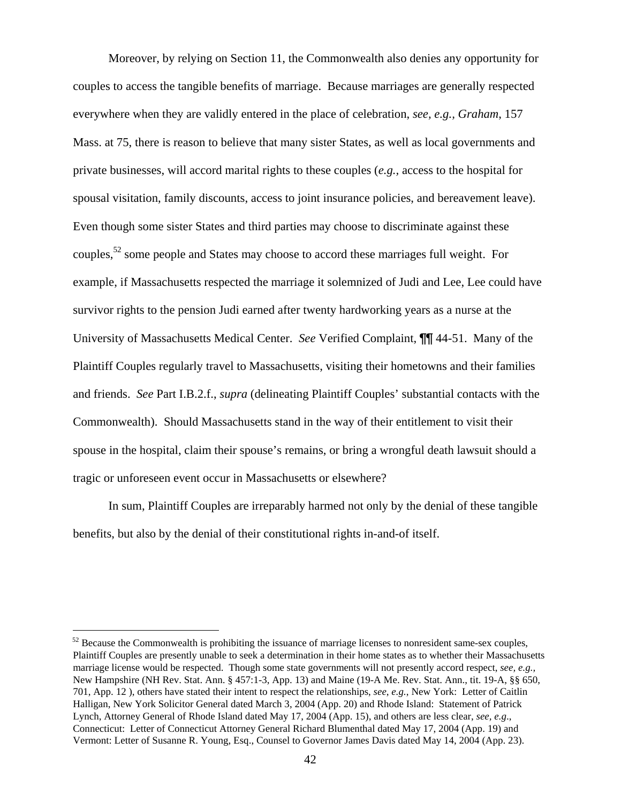Moreover, by relying on Section 11, the Commonwealth also denies any opportunity for couples to access the tangible benefits of marriage. Because marriages are generally respected everywhere when they are validly entered in the place of celebration, *see, e.g., Graham*, 157 Mass. at 75, there is reason to believe that many sister States, as well as local governments and private businesses, will accord marital rights to these couples (*e.g.,* access to the hospital for spousal visitation, family discounts, access to joint insurance policies, and bereavement leave). Even though some sister States and third parties may choose to discriminate against these couples,<sup>52</sup> some people and States may choose to accord these marriages full weight. For example, if Massachusetts respected the marriage it solemnized of Judi and Lee, Lee could have survivor rights to the pension Judi earned after twenty hardworking years as a nurse at the University of Massachusetts Medical Center. *See* Verified Complaint, ¶¶ 44-51. Many of the Plaintiff Couples regularly travel to Massachusetts, visiting their hometowns and their families and friends. *See* Part I.B.2.f., *supra* (delineating Plaintiff Couples' substantial contacts with the Commonwealth). Should Massachusetts stand in the way of their entitlement to visit their spouse in the hospital, claim their spouse's remains, or bring a wrongful death lawsuit should a tragic or unforeseen event occur in Massachusetts or elsewhere?

In sum, Plaintiff Couples are irreparably harmed not only by the denial of these tangible benefits, but also by the denial of their constitutional rights in-and-of itself.

<span id="page-41-0"></span><sup>&</sup>lt;sup>52</sup> Because the Commonwealth is prohibiting the issuance of marriage licenses to nonresident same-sex couples, Plaintiff Couples are presently unable to seek a determination in their home states as to whether their Massachusetts marriage license would be respected. Though some state governments will not presently accord respect, *see, e.g.,*  New Hampshire (NH Rev. Stat. Ann. § 457:1-3, App. 13) and Maine (19-A Me. Rev. Stat. Ann., tit. 19-A, §§ 650, 701, App. 12 ), others have stated their intent to respect the relationships, *see*, *e.g.*, New York: Letter of Caitlin Halligan, New York Solicitor General dated March 3, 2004 (App. 20) and Rhode Island: Statement of Patrick Lynch, Attorney General of Rhode Island dated May 17, 2004 (App. 15), and others are less clear, *see, e.g*., Connecticut: Letter of Connecticut Attorney General Richard Blumenthal dated May 17, 2004 (App. 19) and Vermont: Letter of Susanne R. Young, Esq., Counsel to Governor James Davis dated May 14, 2004 (App. 23).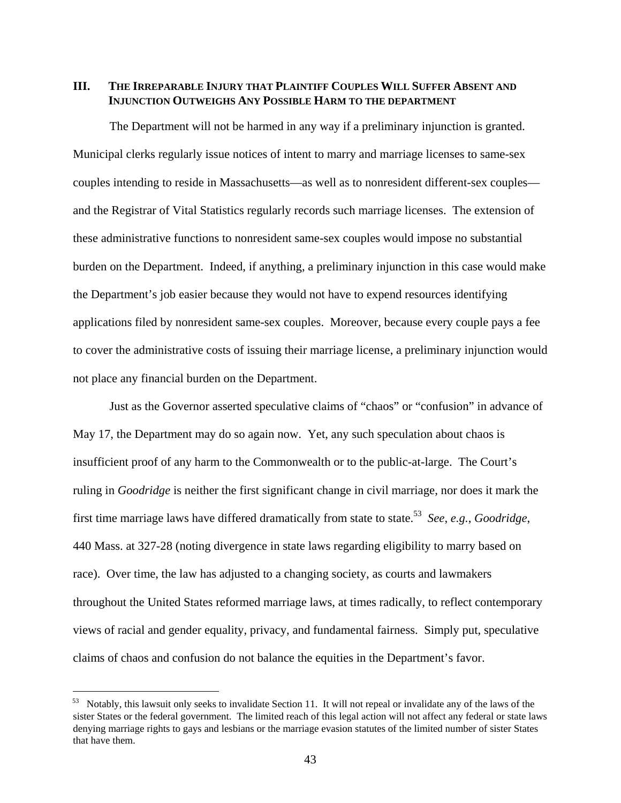## **III. THE IRREPARABLE INJURY THAT PLAINTIFF COUPLES WILL SUFFER ABSENT AND INJUNCTION OUTWEIGHS ANY POSSIBLE HARM TO THE DEPARTMENT**

The Department will not be harmed in any way if a preliminary injunction is granted. Municipal clerks regularly issue notices of intent to marry and marriage licenses to same-sex couples intending to reside in Massachusetts—as well as to nonresident different-sex couples and the Registrar of Vital Statistics regularly records such marriage licenses. The extension of these administrative functions to nonresident same-sex couples would impose no substantial burden on the Department. Indeed, if anything, a preliminary injunction in this case would make the Department's job easier because they would not have to expend resources identifying applications filed by nonresident same-sex couples. Moreover, because every couple pays a fee to cover the administrative costs of issuing their marriage license, a preliminary injunction would not place any financial burden on the Department.

Just as the Governor asserted speculative claims of "chaos" or "confusion" in advance of May 17, the Department may do so again now. Yet, any such speculation about chaos is insufficient proof of any harm to the Commonwealth or to the public-at-large. The Court's ruling in *Goodridge* is neither the first significant change in civil marriage, nor does it mark the first time marriage laws have differed dramatically from state to state.[53](#page-42-0) *See*, *e.g.*, *Goodridge*, 440 Mass. at 327-28 (noting divergence in state laws regarding eligibility to marry based on race). Over time, the law has adjusted to a changing society, as courts and lawmakers throughout the United States reformed marriage laws, at times radically, to reflect contemporary views of racial and gender equality, privacy, and fundamental fairness. Simply put, speculative claims of chaos and confusion do not balance the equities in the Department's favor.

<span id="page-42-0"></span> $53$  Notably, this lawsuit only seeks to invalidate Section 11. It will not repeal or invalidate any of the laws of the sister States or the federal government. The limited reach of this legal action will not affect any federal or state laws denying marriage rights to gays and lesbians or the marriage evasion statutes of the limited number of sister States that have them.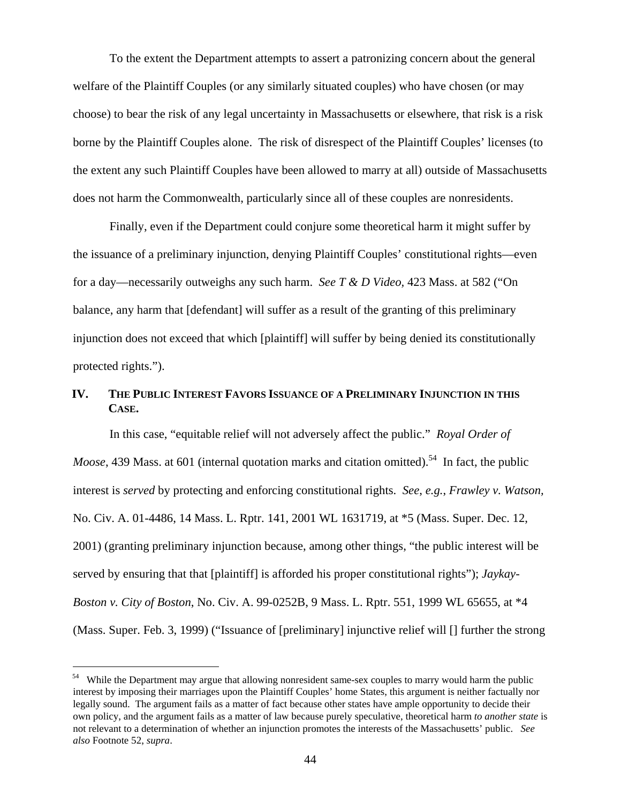To the extent the Department attempts to assert a patronizing concern about the general welfare of the Plaintiff Couples (or any similarly situated couples) who have chosen (or may choose) to bear the risk of any legal uncertainty in Massachusetts or elsewhere, that risk is a risk borne by the Plaintiff Couples alone. The risk of disrespect of the Plaintiff Couples' licenses (to the extent any such Plaintiff Couples have been allowed to marry at all) outside of Massachusetts does not harm the Commonwealth, particularly since all of these couples are nonresidents.

Finally, even if the Department could conjure some theoretical harm it might suffer by the issuance of a preliminary injunction, denying Plaintiff Couples' constitutional rights—even for a day—necessarily outweighs any such harm. *See T & D Video,* 423 Mass. at 582 ("On balance, any harm that [defendant] will suffer as a result of the granting of this preliminary injunction does not exceed that which [plaintiff] will suffer by being denied its constitutionally protected rights.").

# **IV. THE PUBLIC INTEREST FAVORS ISSUANCE OF A PRELIMINARY INJUNCTION IN THIS CASE.**

In this case, "equitable relief will not adversely affect the public." *Royal Order of Moose*, 439 Mass. at 601 (internal quotation marks and citation omitted).<sup>54</sup> In fact, the public interest is *served* by protecting and enforcing constitutional rights. *See*, *e.g.*, *Frawley v. Watson,* No. Civ. A. 01-4486, 14 Mass. L. Rptr. 141, 2001 WL 1631719, at \*5 (Mass. Super. Dec. 12, 2001) (granting preliminary injunction because, among other things, "the public interest will be served by ensuring that that [plaintiff] is afforded his proper constitutional rights"); *Jaykay-Boston v. City of Boston*, No. Civ. A. 99-0252B, 9 Mass. L. Rptr. 551, 1999 WL 65655, at \*4 (Mass. Super. Feb. 3, 1999) ("Issuance of [preliminary] injunctive relief will [] further the strong

<span id="page-43-0"></span><sup>&</sup>lt;sup>54</sup> While the Department may argue that allowing nonresident same-sex couples to marry would harm the public interest by imposing their marriages upon the Plaintiff Couples' home States, this argument is neither factually nor legally sound. The argument fails as a matter of fact because other states have ample opportunity to decide their own policy, and the argument fails as a matter of law because purely speculative, theoretical harm *to another state* is not relevant to a determination of whether an injunction promotes the interests of the Massachusetts' public. *See also* Footnote 52, *supra*.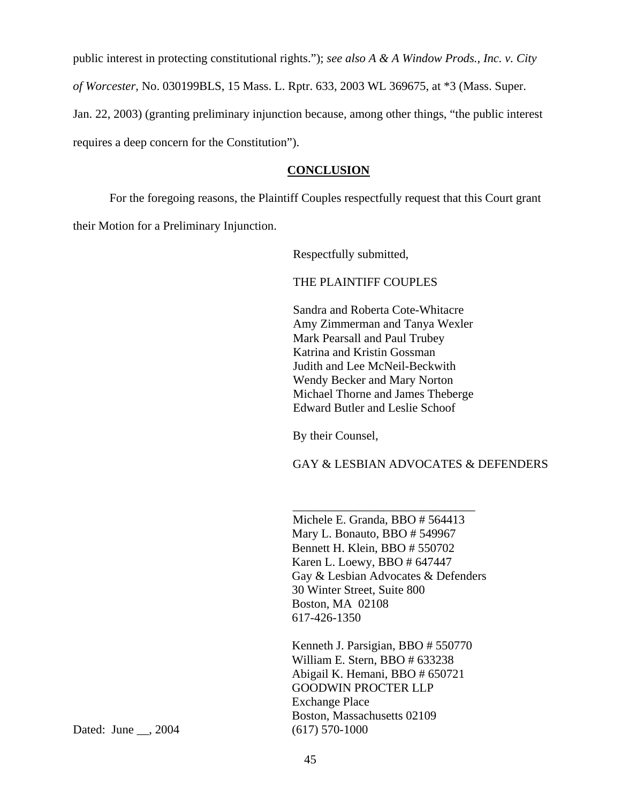public interest in protecting constitutional rights."); *see also A & A Window Prods., Inc. v. City of Worcester*, No. 030199BLS, 15 Mass. L. Rptr. 633, 2003 WL 369675, at \*3 (Mass. Super. Jan. 22, 2003) (granting preliminary injunction because, among other things, "the public interest requires a deep concern for the Constitution").

## **CONCLUSION**

For the foregoing reasons, the Plaintiff Couples respectfully request that this Court grant their Motion for a Preliminary Injunction.

Respectfully submitted,

THE PLAINTIFF COUPLES

Sandra and Roberta Cote-Whitacre Amy Zimmerman and Tanya Wexler Mark Pearsall and Paul Trubey Katrina and Kristin Gossman Judith and Lee McNeil-Beckwith Wendy Becker and Mary Norton Michael Thorne and James Theberge Edward Butler and Leslie Schoof

By their Counsel,

GAY & LESBIAN ADVOCATES & DEFENDERS

Michele E. Granda, BBO # 564413 Mary L. Bonauto, BBO # 549967 Bennett H. Klein, BBO # 550702 Karen L. Loewy, BBO # 647447 Gay & Lesbian Advocates & Defenders 30 Winter Street, Suite 800 Boston, MA 02108 617-426-1350

\_\_\_\_\_\_\_\_\_\_\_\_\_\_\_\_\_\_\_\_\_\_\_\_\_\_\_\_\_\_

Kenneth J. Parsigian, BBO # 550770 William E. Stern, BBO # 633238 Abigail K. Hemani, BBO # 650721 GOODWIN PROCTER LLP Exchange Place Boston, Massachusetts 02109

Dated: June \_\_, 2004 (617) 570-1000